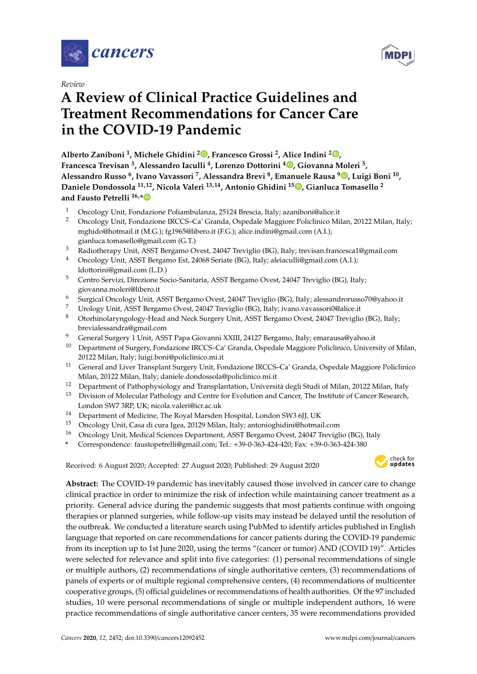

*Review*

# **A Review of Clinical Practice Guidelines and Treatment Recommendations for Cancer Care in the COVID-19 Pandemic**

**Alberto Zaniboni <sup>1</sup> , Michele Ghidini <sup>2</sup> [,](https://orcid.org/0000-0001-5435-1218) Francesco Grossi <sup>2</sup> , Alice Indini <sup>2</sup> [,](https://orcid.org/0000-0001-8686-4106) Francesca Trevisan <sup>3</sup> , Alessandro Iaculli <sup>4</sup> , Lorenzo Dottorini <sup>4</sup> [,](https://orcid.org/0000-0002-2273-0229) Giovanna Moleri <sup>5</sup> , Alessandro Russo <sup>6</sup> , Ivano Vavassori <sup>7</sup> , Alessandra Brevi <sup>8</sup> , Emanuele Rausa [9](https://orcid.org/0000-0001-6780-1783) , Luigi Boni <sup>10</sup> , Daniele Dondossola 11,12, Nicola Valeri 13,14, Antonio Ghidini <sup>15</sup> [,](https://orcid.org/0000-0002-6142-2018) Gianluca Tomasello <sup>2</sup> and Fausto Petrelli 16,[\\*](https://orcid.org/0000-0001-9639-4486)**

- <sup>1</sup> Oncology Unit, Fondazione Poliambulanza, 25124 Brescia, Italy; azaniboni@alice.it
- <sup>2</sup> Oncology Unit, Fondazione IRCCS–Ca' Granda, Ospedale Maggiore Policlinico Milan, 20122 Milan, Italy; mghido@hotmail.it (M.G.); fg1965@libero.it (F.G.); alice.indini@gmail.com (A.I.); gianluca.tomasello@gmail.com (G.T.)
- <sup>3</sup> Radiotherapy Unit, ASST Bergamo Ovest, 24047 Treviglio (BG), Italy; trevisan.francesca1@gmail.com<br><sup>4</sup> Opeology Unit, ASST Bergamo Est, 24068 Seriato (BC), Italy; algiacylli@gmail.com (A I);
- <sup>4</sup> Oncology Unit, ASST Bergamo Est, 24068 Seriate (BG), Italy; aleiaculli@gmail.com (A.I.); ldottorini@gmail.com (L.D.)
- <sup>5</sup> Centro Servizi, Direzione Socio-Sanitaria, ASST Bergamo Ovest, 24047 Treviglio (BG), Italy; giovanna.moleri@libero.it
- <sup>6</sup> Surgical Oncology Unit, ASST Bergamo Ovest, 24047 Treviglio (BG), Italy; alessandrorusso70@yahoo.it
- 7 Urology Unit, ASST Bergamo Ovest, 24047 Treviglio (BG), Italy; ivano.vavassori0@alice.it<br>8 Oktobia large al serial and Mark Guessen Unit, ASST Barrenes Ovest, 24047 Trevialis
- <sup>8</sup> Otorhinolaryngology-Head and Neck Surgery Unit, ASST Bergamo Ovest, 24047 Treviglio (BG), Italy; brevialessandra@gmail.com
- <sup>9</sup> General Surgery 1 Unit, ASST Papa Giovanni XXIII, 24127 Bergamo, Italy; emarausa@yahoo.it
- <sup>10</sup> Department of Surgery, Fondazione IRCCS–Ca' Granda, Ospedale Maggiore Policlinico, University of Milan, 20122 Milan, Italy; luigi.boni@policlinico.mi.it
- <sup>11</sup> General and Liver Transplant Surgery Unit, Fondazione IRCCS–Ca' Granda, Ospedale Maggiore Policlinico Milan, 20122 Milan, Italy; daniele.dondossola@policlinico.mi.it
- <sup>12</sup> Department of Pathophysiology and Transplantation, Università degli Studi of Milan, 20122 Milan, Italy
- <sup>13</sup> Division of Molecular Pathology and Centre for Evolution and Cancer, The Institute of Cancer Research, London SW7 3RP, UK; nicola.valeri@icr.ac.uk
- <sup>14</sup> Department of Medicine, The Royal Marsden Hospital, London SW3 6JJ, UK<br><sup>15</sup> Ongeleau Unit Gese di gure Isse, 20129 Milan Italy; antonioghidini@botmai
- <sup>15</sup> Oncology Unit, Casa di cura Igea, 20129 Milan, Italy; antonioghidini@hotmail.com
- <sup>16</sup> Oncology Unit, Medical Sciences Department, ASST Bergamo Ovest, 24047 Treviglio (BG), Italy
- **\*** Correspondence: faustopetrelli@gmail.com; Tel.: +39-0-363-424-420; Fax: +39-0-363-424-380

Received: 6 August 2020; Accepted: 27 August 2020; Published: 29 August 2020



**Abstract:** The COVID-19 pandemic has inevitably caused those involved in cancer care to change clinical practice in order to minimize the risk of infection while maintaining cancer treatment as a priority. General advice during the pandemic suggests that most patients continue with ongoing therapies or planned surgeries, while follow-up visits may instead be delayed until the resolution of the outbreak. We conducted a literature search using PubMed to identify articles published in English language that reported on care recommendations for cancer patients during the COVID-19 pandemic from its inception up to 1st June 2020, using the terms "(cancer or tumor) AND (COVID 19)". Articles were selected for relevance and split into five categories: (1) personal recommendations of single or multiple authors, (2) recommendations of single authoritative centers, (3) recommendations of panels of experts or of multiple regional comprehensive centers, (4) recommendations of multicenter cooperative groups, (5) official guidelines or recommendations of health authorities. Of the 97 included studies, 10 were personal recommendations of single or multiple independent authors, 16 were practice recommendations of single authoritative cancer centers, 35 were recommendations provided

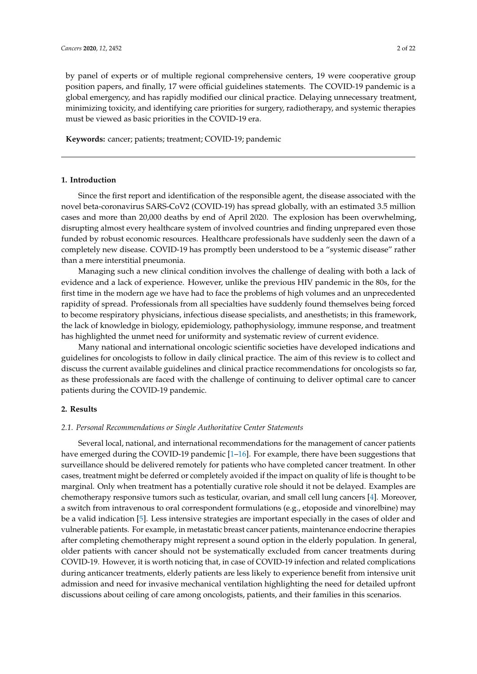by panel of experts or of multiple regional comprehensive centers, 19 were cooperative group position papers, and finally, 17 were official guidelines statements. The COVID-19 pandemic is a global emergency, and has rapidly modified our clinical practice. Delaying unnecessary treatment, minimizing toxicity, and identifying care priorities for surgery, radiotherapy, and systemic therapies

## **Keywords:** cancer; patients; treatment; COVID-19; pandemic

must be viewed as basic priorities in the COVID-19 era.

# **1. Introduction**

Since the first report and identification of the responsible agent, the disease associated with the novel beta-coronavirus SARS-CoV2 (COVID-19) has spread globally, with an estimated 3.5 million cases and more than 20,000 deaths by end of April 2020. The explosion has been overwhelming, disrupting almost every healthcare system of involved countries and finding unprepared even those funded by robust economic resources. Healthcare professionals have suddenly seen the dawn of a completely new disease. COVID-19 has promptly been understood to be a "systemic disease" rather than a mere interstitial pneumonia.

Managing such a new clinical condition involves the challenge of dealing with both a lack of evidence and a lack of experience. However, unlike the previous HIV pandemic in the 80s, for the first time in the modern age we have had to face the problems of high volumes and an unprecedented rapidity of spread. Professionals from all specialties have suddenly found themselves being forced to become respiratory physicians, infectious disease specialists, and anesthetists; in this framework, the lack of knowledge in biology, epidemiology, pathophysiology, immune response, and treatment has highlighted the unmet need for uniformity and systematic review of current evidence.

Many national and international oncologic scientific societies have developed indications and guidelines for oncologists to follow in daily clinical practice. The aim of this review is to collect and discuss the current available guidelines and clinical practice recommendations for oncologists so far, as these professionals are faced with the challenge of continuing to deliver optimal care to cancer patients during the COVID-19 pandemic.

# **2. Results**

#### *2.1. Personal Recommendations or Single Authoritative Center Statements*

Several local, national, and international recommendations for the management of cancer patients have emerged during the COVID-19 pandemic [\[1](#page-16-0)[–16\]](#page-16-1). For example, there have been suggestions that surveillance should be delivered remotely for patients who have completed cancer treatment. In other cases, treatment might be deferred or completely avoided if the impact on quality of life is thought to be marginal. Only when treatment has a potentially curative role should it not be delayed. Examples are chemotherapy responsive tumors such as testicular, ovarian, and small cell lung cancers [\[4\]](#page-16-2). Moreover, a switch from intravenous to oral correspondent formulations (e.g., etoposide and vinorelbine) may be a valid indication [\[5\]](#page-16-3). Less intensive strategies are important especially in the cases of older and vulnerable patients. For example, in metastatic breast cancer patients, maintenance endocrine therapies after completing chemotherapy might represent a sound option in the elderly population. In general, older patients with cancer should not be systematically excluded from cancer treatments during COVID-19. However, it is worth noticing that, in case of COVID-19 infection and related complications during anticancer treatments, elderly patients are less likely to experience benefit from intensive unit admission and need for invasive mechanical ventilation highlighting the need for detailed upfront discussions about ceiling of care among oncologists, patients, and their families in this scenarios.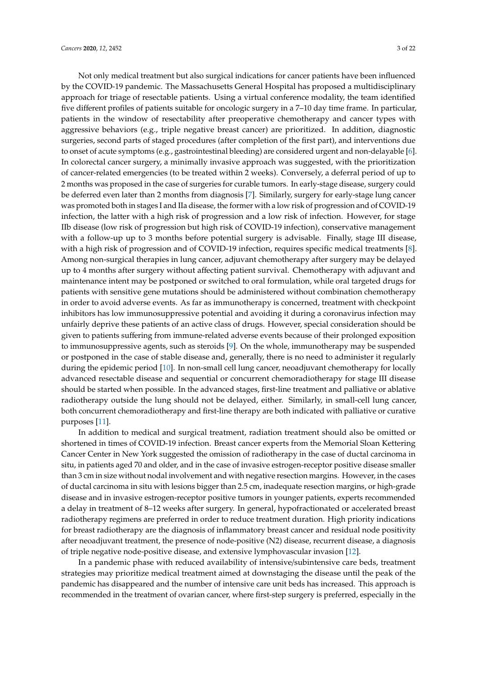Not only medical treatment but also surgical indications for cancer patients have been influenced by the COVID-19 pandemic. The Massachusetts General Hospital has proposed a multidisciplinary approach for triage of resectable patients. Using a virtual conference modality, the team identified five different profiles of patients suitable for oncologic surgery in a 7–10 day time frame. In particular, patients in the window of resectability after preoperative chemotherapy and cancer types with aggressive behaviors (e.g., triple negative breast cancer) are prioritized. In addition, diagnostic surgeries, second parts of staged procedures (after completion of the first part), and interventions due to onset of acute symptoms (e.g., gastrointestinal bleeding) are considered urgent and non-delayable [\[6\]](#page-16-4). In colorectal cancer surgery, a minimally invasive approach was suggested, with the prioritization of cancer-related emergencies (to be treated within 2 weeks). Conversely, a deferral period of up to 2 months was proposed in the case of surgeries for curable tumors. In early-stage disease, surgery could be deferred even later than 2 months from diagnosis [\[7\]](#page-16-5). Similarly, surgery for early-stage lung cancer was promoted both in stages I and IIa disease, the former with a low risk of progression and of COVID-19 infection, the latter with a high risk of progression and a low risk of infection. However, for stage IIb disease (low risk of progression but high risk of COVID-19 infection), conservative management with a follow-up up to 3 months before potential surgery is advisable. Finally, stage III disease, with a high risk of progression and of COVID-19 infection, requires specific medical treatments [\[8\]](#page-16-6). Among non-surgical therapies in lung cancer, adjuvant chemotherapy after surgery may be delayed up to 4 months after surgery without affecting patient survival. Chemotherapy with adjuvant and maintenance intent may be postponed or switched to oral formulation, while oral targeted drugs for patients with sensitive gene mutations should be administered without combination chemotherapy in order to avoid adverse events. As far as immunotherapy is concerned, treatment with checkpoint inhibitors has low immunosuppressive potential and avoiding it during a coronavirus infection may unfairly deprive these patients of an active class of drugs. However, special consideration should be given to patients suffering from immune-related adverse events because of their prolonged exposition to immunosuppressive agents, such as steroids [\[9\]](#page-16-7). On the whole, immunotherapy may be suspended or postponed in the case of stable disease and, generally, there is no need to administer it regularly during the epidemic period [\[10\]](#page-16-8). In non-small cell lung cancer, neoadjuvant chemotherapy for locally advanced resectable disease and sequential or concurrent chemoradiotherapy for stage III disease should be started when possible. In the advanced stages, first-line treatment and palliative or ablative radiotherapy outside the lung should not be delayed, either. Similarly, in small-cell lung cancer, both concurrent chemoradiotherapy and first-line therapy are both indicated with palliative or curative purposes [\[11\]](#page-16-9).

In addition to medical and surgical treatment, radiation treatment should also be omitted or shortened in times of COVID-19 infection. Breast cancer experts from the Memorial Sloan Kettering Cancer Center in New York suggested the omission of radiotherapy in the case of ductal carcinoma in situ, in patients aged 70 and older, and in the case of invasive estrogen-receptor positive disease smaller than 3 cm in size without nodal involvement and with negative resection margins. However, in the cases of ductal carcinoma in situ with lesions bigger than 2.5 cm, inadequate resection margins, or high-grade disease and in invasive estrogen-receptor positive tumors in younger patients, experts recommended a delay in treatment of 8–12 weeks after surgery. In general, hypofractionated or accelerated breast radiotherapy regimens are preferred in order to reduce treatment duration. High priority indications for breast radiotherapy are the diagnosis of inflammatory breast cancer and residual node positivity after neoadjuvant treatment, the presence of node-positive (N2) disease, recurrent disease, a diagnosis of triple negative node-positive disease, and extensive lymphovascular invasion [\[12\]](#page-16-10).

In a pandemic phase with reduced availability of intensive/subintensive care beds, treatment strategies may prioritize medical treatment aimed at downstaging the disease until the peak of the pandemic has disappeared and the number of intensive care unit beds has increased. This approach is recommended in the treatment of ovarian cancer, where first-step surgery is preferred, especially in the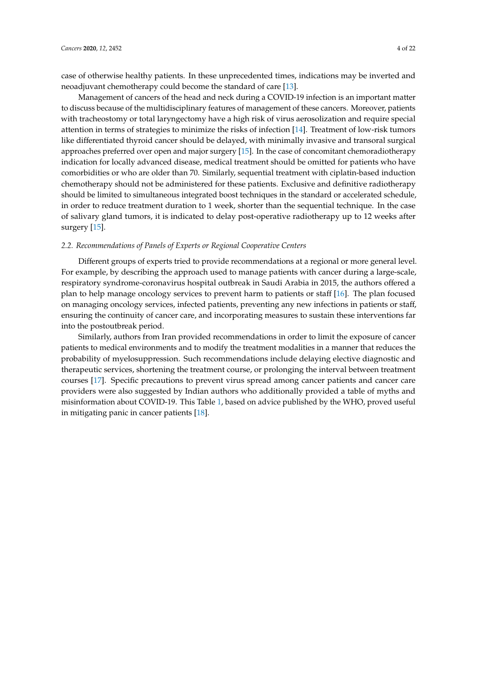case of otherwise healthy patients. In these unprecedented times, indications may be inverted and neoadjuvant chemotherapy could become the standard of care [\[13\]](#page-16-11).

Management of cancers of the head and neck during a COVID-19 infection is an important matter to discuss because of the multidisciplinary features of management of these cancers. Moreover, patients with tracheostomy or total laryngectomy have a high risk of virus aerosolization and require special attention in terms of strategies to minimize the risks of infection [\[14\]](#page-16-12). Treatment of low-risk tumors like differentiated thyroid cancer should be delayed, with minimally invasive and transoral surgical approaches preferred over open and major surgery [\[15\]](#page-16-13). In the case of concomitant chemoradiotherapy indication for locally advanced disease, medical treatment should be omitted for patients who have comorbidities or who are older than 70. Similarly, sequential treatment with ciplatin-based induction chemotherapy should not be administered for these patients. Exclusive and definitive radiotherapy should be limited to simultaneous integrated boost techniques in the standard or accelerated schedule, in order to reduce treatment duration to 1 week, shorter than the sequential technique. In the case of salivary gland tumors, it is indicated to delay post-operative radiotherapy up to 12 weeks after surgery [\[15\]](#page-16-13).

#### *2.2. Recommendations of Panels of Experts or Regional Cooperative Centers*

Different groups of experts tried to provide recommendations at a regional or more general level. For example, by describing the approach used to manage patients with cancer during a large-scale, respiratory syndrome-coronavirus hospital outbreak in Saudi Arabia in 2015, the authors offered a plan to help manage oncology services to prevent harm to patients or staff [\[16\]](#page-16-1). The plan focused on managing oncology services, infected patients, preventing any new infections in patients or staff, ensuring the continuity of cancer care, and incorporating measures to sustain these interventions far into the postoutbreak period.

Similarly, authors from Iran provided recommendations in order to limit the exposure of cancer patients to medical environments and to modify the treatment modalities in a manner that reduces the probability of myelosuppression. Such recommendations include delaying elective diagnostic and therapeutic services, shortening the treatment course, or prolonging the interval between treatment courses [\[17\]](#page-16-14). Specific precautions to prevent virus spread among cancer patients and cancer care providers were also suggested by Indian authors who additionally provided a table of myths and misinformation about COVID-19. This Table [1,](#page-11-0) based on advice published by the WHO, proved useful in mitigating panic in cancer patients [\[18\]](#page-16-15).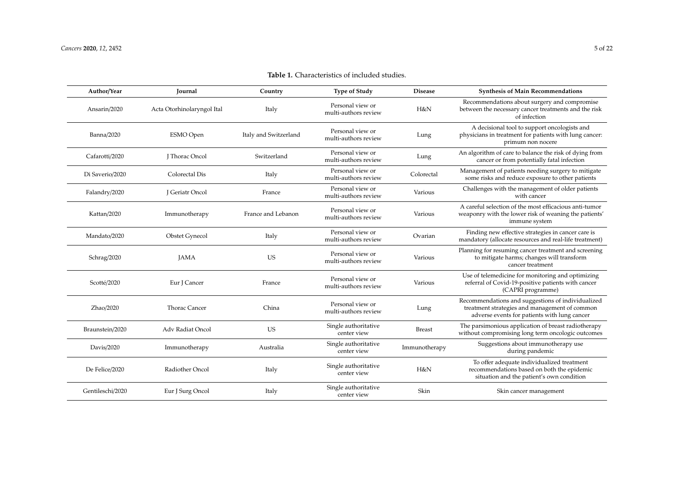# **Table 1.** Characteristics of included studies.

| Author/Year       | <b>Journal</b>             | Country               | <b>Type of Study</b>                     | <b>Disease</b> | <b>Synthesis of Main Recommendations</b>                                                                                                           |
|-------------------|----------------------------|-----------------------|------------------------------------------|----------------|----------------------------------------------------------------------------------------------------------------------------------------------------|
| Ansarin/2020      | Acta Otorhinolaryngol Ital | Italy                 | Personal view or<br>multi-authors review | H&N            | Recommendations about surgery and compromise<br>between the necessary cancer treatments and the risk<br>of infection                               |
| <b>Banna/2020</b> | <b>ESMO</b> Open           | Italy and Switzerland | Personal view or<br>multi-authors review | Lung           | A decisional tool to support oncologists and<br>physicians in treatment for patients with lung cancer:<br>primum non nocere                        |
| Cafarotti/2020    | <b>I</b> Thorac Oncol      | Switzerland           | Personal view or<br>multi-authors review | Lung           | An algorithm of care to balance the risk of dying from<br>cancer or from potentially fatal infection                                               |
| Di Saverio/2020   | Colorectal Dis             | Italy                 | Personal view or<br>multi-authors review | Colorectal     | Management of patients needing surgery to mitigate<br>some risks and reduce exposure to other patients                                             |
| Falandry/2020     | J Geriatr Oncol            | France                | Personal view or<br>multi-authors review | Various        | Challenges with the management of older patients<br>with cancer                                                                                    |
| Kattan/2020       | Immunotherapy              | France and Lebanon    | Personal view or<br>multi-authors review | Various        | A careful selection of the most efficacious anti-tumor<br>weaponry with the lower risk of weaning the patients'<br>immune system                   |
| Mandato/2020      | <b>Obstet Gynecol</b>      | Italy                 | Personal view or<br>multi-authors review | Ovarian        | Finding new effective strategies in cancer care is<br>mandatory (allocate resources and real-life treatment)                                       |
| Schrag/2020       | <b>JAMA</b>                | <b>US</b>             | Personal view or<br>multi-authors review | Various        | Planning for resuming cancer treatment and screening<br>to mitigate harms; changes will transform<br>cancer treatment                              |
| Scotté/2020       | Eur J Cancer               | France                | Personal view or<br>multi-authors review | Various        | Use of telemedicine for monitoring and optimizing<br>referral of Covid-19-positive patients with cancer<br>(CAPRI programme)                       |
| Zhao/2020         | Thorac Cancer              | China                 | Personal view or<br>multi-authors review | Lung           | Recommendations and suggestions of individualized<br>treatment strategies and management of common<br>adverse events for patients with lung cancer |
| Braunstein/2020   | Adv Radiat Oncol           | <b>US</b>             | Single authoritative<br>center view      | <b>Breast</b>  | The parsimonious application of breast radiotherapy<br>without compromising long term oncologic outcomes                                           |
| Davis/2020        | Immunotherapy              | Australia             | Single authoritative<br>center view      | Immunotherapy  | Suggestions about immunotherapy use<br>during pandemic                                                                                             |
| De Felice/2020    | Radiother Oncol            | Italy                 | Single authoritative<br>center view      | H&N            | To offer adequate individualized treatment<br>recommendations based on both the epidemic<br>situation and the patient's own condition              |
| Gentileschi/2020  | Eur J Surg Oncol           | Italy                 | Single authoritative<br>center view      | Skin           | Skin cancer management                                                                                                                             |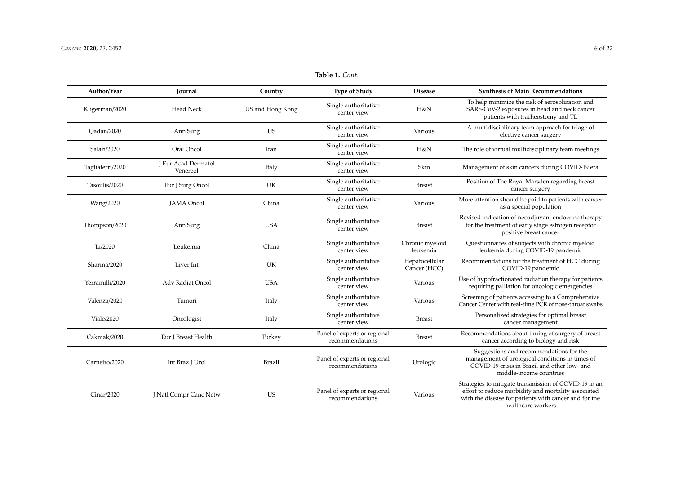| Author/Year      | Journal                         | Country          | <b>Type of Study</b>                            | <b>Disease</b>                 | <b>Synthesis of Main Recommendations</b>                                                                                                                                                    |
|------------------|---------------------------------|------------------|-------------------------------------------------|--------------------------------|---------------------------------------------------------------------------------------------------------------------------------------------------------------------------------------------|
| Kligerman/2020   | <b>Head Neck</b>                | US and Hong Kong | Single authoritative<br>center view             | H&N                            | To help minimize the risk of aerosolization and<br>SARS-CoV-2 exposures in head and neck cancer<br>patients with tracheostomy and TL                                                        |
| Qadan/2020       | Ann Surg                        | <b>US</b>        | Single authoritative<br>center view             | Various                        | A multidisciplinary team approach for triage of<br>elective cancer surgery                                                                                                                  |
| Salari/2020      | Oral Oncol                      | Iran             | Single authoritative<br>center view             | H&N                            | The role of virtual multidisciplinary team meetings                                                                                                                                         |
| Tagliaferri/2020 | J Eur Acad Dermatol<br>Venereol | Italy            | Single authoritative<br>center view             | Skin                           | Management of skin cancers during COVID-19 era                                                                                                                                              |
| Tasoulis/2020    | Eur J Surg Oncol                | UK               | Single authoritative<br>center view             | <b>Breast</b>                  | Position of The Royal Marsden regarding breast<br>cancer surgery                                                                                                                            |
| Wang/2020        | <b>JAMA</b> Oncol               | China            | Single authoritative<br>center view             | Various                        | More attention should be paid to patients with cancer<br>as a special population                                                                                                            |
| Thompson/2020    | Ann Surg                        | <b>USA</b>       | Single authoritative<br>center view             | <b>Breast</b>                  | Revised indication of neoadjuvant endocrine therapy<br>for the treatment of early stage estrogen receptor<br>positive breast cancer                                                         |
| Li/2020          | Leukemia                        | China            | Single authoritative<br>center view             | Chronic myeloid<br>leukemia    | Questionnaires of subjects with chronic myeloid<br>leukemia during COVID-19 pandemic                                                                                                        |
| Sharma/2020      | Liver Int                       | UK               | Single authoritative<br>center view             | Hepatocellular<br>Cancer (HCC) | Recommendations for the treatment of HCC during<br>COVID-19 pandemic                                                                                                                        |
| Yerramilli/2020  | Adv Radiat Oncol                | <b>USA</b>       | Single authoritative<br>center view             | Various                        | Use of hypofractionated radiation therapy for patients<br>requiring palliation for oncologic emergencies                                                                                    |
| Valenza/2020     | Tumori                          | Italy            | Single authoritative<br>center view             | Various                        | Screening of patients accessing to a Comprehensive<br>Cancer Center with real-time PCR of nose-throat swabs                                                                                 |
| Viale/2020       | Oncologist                      | Italy            | Single authoritative<br>center view             | <b>Breast</b>                  | Personalized strategies for optimal breast<br>cancer management                                                                                                                             |
| Cakmak/2020      | Eur J Breast Health             | Turkey           | Panel of experts or regional<br>recommendations | <b>Breast</b>                  | Recommendations about timing of surgery of breast<br>cancer according to biology and risk                                                                                                   |
| Carneiro/2020    | Int Braz J Urol                 | <b>Brazil</b>    | Panel of experts or regional<br>recommendations | Urologic                       | Suggestions and recommendations for the<br>management of urological conditions in times of<br>COVID-19 crisis in Brazil and other low- and<br>middle-income countries                       |
| Cinar/2020       | J Natl Compr Canc Netw          | US               | Panel of experts or regional<br>recommendations | Various                        | Strategies to mitigate transmission of COVID-19 in an<br>effort to reduce morbidity and mortality associated<br>with the disease for patients with cancer and for the<br>healthcare workers |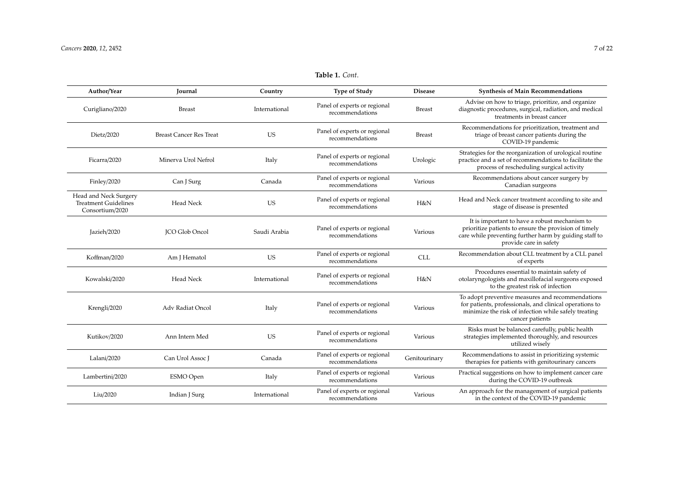| Author/Year                                                             | <b>Journal</b>                 | Country       | <b>Type of Study</b>                            | <b>Disease</b> | <b>Synthesis of Main Recommendations</b>                                                                                                                                                   |
|-------------------------------------------------------------------------|--------------------------------|---------------|-------------------------------------------------|----------------|--------------------------------------------------------------------------------------------------------------------------------------------------------------------------------------------|
| Curigliano/2020                                                         | <b>Breast</b>                  | International | Panel of experts or regional<br>recommendations | <b>Breast</b>  | Advise on how to triage, prioritize, and organize<br>diagnostic procedures, surgical, radiation, and medical<br>treatments in breast cancer                                                |
| Dietz/2020                                                              | <b>Breast Cancer Res Treat</b> | <b>US</b>     | Panel of experts or regional<br>recommendations | <b>Breast</b>  | Recommendations for prioritization, treatment and<br>triage of breast cancer patients during the<br>COVID-19 pandemic                                                                      |
| Ficarra/2020                                                            | Minerva Urol Nefrol            | Italy         | Panel of experts or regional<br>recommendations | Urologic       | Strategies for the reorganization of urological routine<br>practice and a set of recommendations to facilitate the<br>process of rescheduling surgical activity                            |
| Finley/2020                                                             | Can J Surg                     | Canada        | Panel of experts or regional<br>recommendations | Various        | Recommendations about cancer surgery by<br>Canadian surgeons                                                                                                                               |
| Head and Neck Surgery<br><b>Treatment Guidelines</b><br>Consortium/2020 | Head Neck                      | <b>US</b>     | Panel of experts or regional<br>recommendations | H&N            | Head and Neck cancer treatment according to site and<br>stage of disease is presented                                                                                                      |
| Jazieh/2020                                                             | <b>JCO Glob Oncol</b>          | Saudi Arabia  | Panel of experts or regional<br>recommendations | Various        | It is important to have a robust mechanism to<br>prioritize patients to ensure the provision of timely<br>care while preventing further harm by guiding staff to<br>provide care in safety |
| Koffman/2020                                                            | Am J Hematol                   | <b>US</b>     | Panel of experts or regional<br>recommendations | <b>CLL</b>     | Recommendation about CLL treatment by a CLL panel<br>of experts                                                                                                                            |
| Kowalski/2020                                                           | Head Neck                      | International | Panel of experts or regional<br>recommendations | H&N            | Procedures essential to maintain safety of<br>otolaryngologists and maxillofacial surgeons exposed<br>to the greatest risk of infection                                                    |
| Krengli/2020                                                            | Adv Radiat Oncol               | Italy         | Panel of experts or regional<br>recommendations | Various        | To adopt preventive measures and recommendations<br>for patients, professionals, and clinical operations to<br>minimize the risk of infection while safely treating<br>cancer patients     |
| Kutikov/2020                                                            | Ann Intern Med                 | <b>US</b>     | Panel of experts or regional<br>recommendations | Various        | Risks must be balanced carefully, public health<br>strategies implemented thoroughly, and resources<br>utilized wisely                                                                     |
| Lalani/2020                                                             | Can Urol Assoc J               | Canada        | Panel of experts or regional<br>recommendations | Genitourinary  | Recommendations to assist in prioritizing systemic<br>therapies for patients with genitourinary cancers                                                                                    |
| Lambertini/2020                                                         | ESMO Open                      | Italy         | Panel of experts or regional<br>recommendations | Various        | Practical suggestions on how to implement cancer care<br>during the COVID-19 outbreak                                                                                                      |
| Liu/2020                                                                | Indian J Surg                  | International | Panel of experts or regional<br>recommendations | Various        | An approach for the management of surgical patients<br>in the context of the COVID-19 pandemic                                                                                             |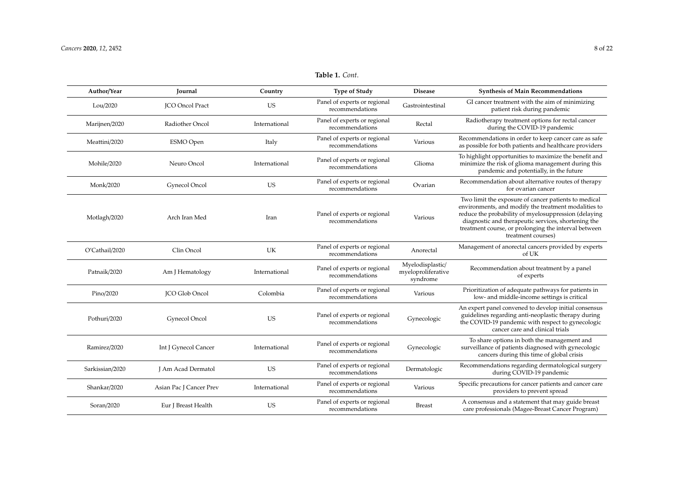#### **Author**/**Year Journal Country Type of Study Disease Synthesis of Main Recommendations** Lou/2020 JCO Oncol Pract US Panel of experts or regional GI cancer treatment with the aim of minimizing<br>Gastrointestinal GI cancer treatment with the aim of minimizing patient risk during pandemic Marijnen/2020 Radiother Oncol International Panel of experts or regional recommendations Radiotherapy treatment options for rectal cancer<br>Rectal  $\overline{C}$ during the COVID-19 pandemic Meattini/2020 **ESMO Open** Italy Panel of experts or regional recommendations recommendations Various Recommendations in order to keep cancer care as safe as possible for both patients and healthcare providers Mohile/2020 Neuro Oncol International Panel of experts or regional er or experts or regional experts or experience of the Glioma<br>recommendations To highlight opportunities to maximize the benefit and minimize the risk of glioma management during this pandemic and potentially, in the future Monk/2020 Gynecol Oncol US Panel of experts or regional recommendations Recommendation about alternative routes of therapy for ovarian cancer Motlagh/2020 Arch Iran Med Iran Panel of experts or regional recommendations Various Two limit the exposure of cancer patients to medical environments, and modify the treatment modalities to reduce the probability of myelosuppression (delaying diagnostic and therapeutic services, shortening the treatment course, or prolonging the interval between treatment courses) O'Cathail/2020 Clin Oncol UK Panel of experts or regional recommendations Anorectal Management of anorectal cancers provided by experts of UK Patnaik/2020 Am J Hematology International Panel of experts or regional recommendations Myelodisplastic/ myeloproliferative syndrome Recommendation about treatment by a panel of experts Pino/2020 JCO Glob Oncol Colombia Panel of experts or regional recommendations Various Prioritization of adequate pathways for patients in low- and middle-income settings is critical Pothuri/2020 Gynecol Oncol US Panel of experts or regional er or experts or regional Gynecologic<br>recommendations An expert panel convened to develop initial consensus guidelines regarding anti-neoplastic therapy during the COVID-19 pandemic with respect to gynecologic cancer care and clinical trials Ramirez/2020 Int J Gynecol Cancer International Panel of experts or regional er or experts or regional comments of Gynecologic To share options in both the management and surveillance of patients diagnosed with gynecologic cancers during this time of global crisis Sarkissian/2020 J Am Acad Dermatol US Panel of experts or regional recommendations Recommendations regarding dermatological surgery during COVID-19 pandemic Shankar/2020 **Asian Pac J Cancer Prev** International Panel of experts or regional *recommendations* Various Specific precautions for cancer patients and cancer care providers to prevent spread Soran/2020 **Eur J Breast Health** US **Panel of experts or regional** recommendations recommendations Breast A consensus and a statement that may guide breast care professionals (Magee-Breast Cancer Program)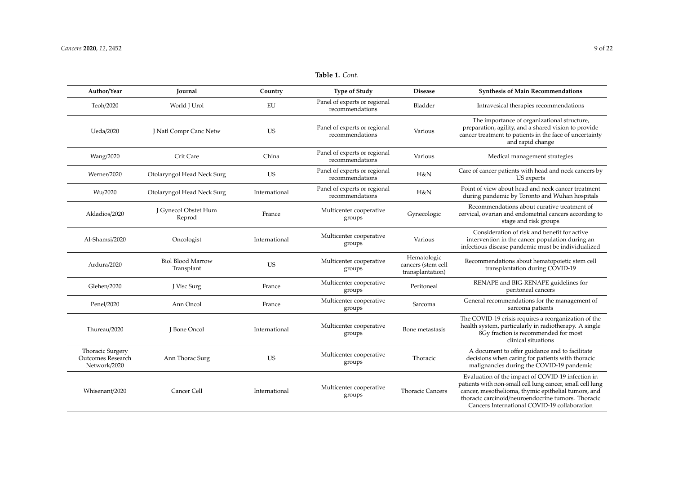#### **Author**/**Year Journal Country Type of Study Disease Synthesis of Main Recommendations** Teoh/2020 World J Urol EU Panel of experts or regional recommendations Bladder Intravesical therapies recommendations Ueda/2020 J Natl Compr Canc Netw US Panel of experts or regional recommendations Various The importance of organizational structure, preparation, agility, and a shared vision to provide cancer treatment to patients in the face of uncertainty and rapid change Wang/2020 Crit Care China Panel of experts or regional recommendations Various Medical management strategies FREN Care of cancer patients with head and neck cancers by US experts recommendations H&N Point of view about head and neck cancer treatment during pandemic by Toronto and Wuhan hospitals France Multicenter cooperative groups Gynecologic Recommendations about curative treatment of cervical, ovarian and endometrial cancers according to stage and risk groups Consideration of risk and benefit for active

#### Werner/<sup>2020</sup> Otolaryngol Head Neck Surg US Panel of experts or regional Wu/2020 Otolaryngol Head Neck Surg International Panel of experts or regional precommendations Akladios/<sup>2020</sup> J Gynecol Obstet Hum Al-Shamsi/2020 Oncologist International Multicenter cooperative groups Various intervention in the cancer population during an infectious disease pandemic must be individualized Ardura/<sup>2020</sup> Biol Blood Marrow US Multicenter cooperative groups Hematologic cancers (stem cell transplantation) Recommendations about hematopoietic stem cell transplantation during COVID-19 Glehen/2020 J Visc Surg France Multicenter cooperative groups Peritoneal RENAPE and BIG-RENAPE guidelines for

| Penel/2020                                                   | Ann Oncol       | France        | Multicenter cooperative<br>groups | Sarcoma                 | General recommendations for the management of<br>sarcoma patients                                                                                                                                                                                                           |
|--------------------------------------------------------------|-----------------|---------------|-----------------------------------|-------------------------|-----------------------------------------------------------------------------------------------------------------------------------------------------------------------------------------------------------------------------------------------------------------------------|
| Thureau/2020                                                 | I Bone Oncol    | International | Multicenter cooperative<br>groups | Bone metastasis         | The COVID-19 crisis requires a reorganization of the<br>health system, particularly in radiotherapy. A single<br>8Gy fraction is recommended for most<br>clinical situations                                                                                                |
| <b>Thoracic Surgery</b><br>Outcomes Research<br>Network/2020 | Ann Thorac Surg | <b>US</b>     | Multicenter cooperative<br>groups | Thoracic                | A document to offer guidance and to facilitate<br>decisions when caring for patients with thoracic<br>malignancies during the COVID-19 pandemic                                                                                                                             |
| Whisenant/2020                                               | Cancer Cell     | International | Multicenter cooperative<br>groups | <b>Thoracic Cancers</b> | Evaluation of the impact of COVID-19 infection in<br>patients with non-small cell lung cancer, small cell lung<br>cancer, mesothelioma, thymic epithelial tumors, and<br>thoracic carcinoid/neuroendocrine tumors. Thoracic<br>Cancers International COVID-19 collaboration |

peritoneal cancers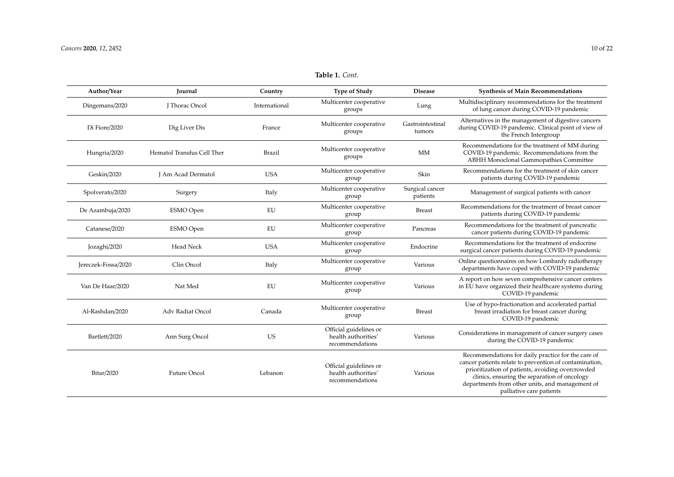Bitar/2020 Future Oncol Lebanon

| Author/Year         | Journal                    | Country       | <b>Type of Study</b>                                             | <b>Disease</b>              | <b>Synthesis of Main Recommendations</b>                                                                                                                                                 |
|---------------------|----------------------------|---------------|------------------------------------------------------------------|-----------------------------|------------------------------------------------------------------------------------------------------------------------------------------------------------------------------------------|
| Dingemans/2020      | J Thorac Oncol             | International | Multicenter cooperative<br>groups                                | Lung                        | Multidisciplinary recommendations for the treatment<br>of lung cancer during COVID-19 pandemic                                                                                           |
| Di Fiore/2020       | Dig Liver Dis              | France        | Multicenter cooperative<br>groups                                | Gastrointestinal<br>tumors  | Alternatives in the management of digestive cancers<br>during COVID-19 pandemic. Clinical point of view of<br>the French Intergroup                                                      |
| Hungria/2020        | Hematol Transfus Cell Ther | <b>Brazil</b> | Multicenter cooperative<br>groups                                | MM                          | Recommendations for the treatment of MM during<br>COVID-19 pandemic. Recommendations from the<br>ABHH Monoclonal Gammopathies Committee                                                  |
| Geskin/2020         | J Am Acad Dermatol         | <b>USA</b>    | Multicenter cooperative<br>group                                 | Skin                        | Recommendations for the treatment of skin cancer<br>patients during COVID-19 pandemic                                                                                                    |
| Spolverato/2020     | Surgery                    | Italy         | Multicenter cooperative<br>group                                 | Surgical cancer<br>patients | Management of surgical patients with cancer                                                                                                                                              |
| De Azambuja/2020    | ESMO Open                  | EU            | Multicenter cooperative<br>group                                 | <b>Breast</b>               | Recommendations for the treatment of breast cancer<br>patients during COVID-19 pandemic                                                                                                  |
| Catanese/2020       | <b>ESMO</b> Open           | EU            | Multicenter cooperative<br>group                                 | Pancreas                    | Recommendations for the treatment of pancreatic<br>cancer patients during COVID-19 pandemic                                                                                              |
| Jozaghi/2020        | <b>Head Neck</b>           | <b>USA</b>    | Multicenter cooperative<br>group                                 | Endocrine                   | Recommendations for the treatment of endocrine<br>surgical cancer patients during COVID-19 pandemic                                                                                      |
| Jereczek-Fossa/2020 | Clin Oncol                 | Italy         | Multicenter cooperative<br>group                                 | Various                     | Online questionnaires on how Lombardy radiotherapy<br>departments have coped with COVID-19 pandemic                                                                                      |
| Van De Haar/2020    | Nat Med                    | EU            | Multicenter cooperative<br>group                                 | Various                     | A report on how seven comprehensive cancer centers<br>in EU have organized their healthcare systems during<br>COVID-19 pandemic                                                          |
| Al-Rashdan/2020     | Adv Radiat Oncol           | Canada        | Multicenter cooperative<br>group                                 | <b>Breast</b>               | Use of hypo-fractionation and accelerated partial<br>breast irradiation for breast cancer during<br>COVID-19 pandemic                                                                    |
| Bartlett/2020       | Ann Surg Oncol             | <b>US</b>     | Official guidelines or<br>health authorities'<br>recommendations | Various                     | Considerations in management of cancer surgery cases<br>during the COVID-19 pandemic                                                                                                     |
|                     |                            |               | Official guidelines or                                           |                             | Recommendations for daily practice for the care of<br>cancer patients relate to prevention of contamination,<br>الممالون بمستستمر ومسترق والمورود ومقسمه فلتحسر فيما والمسافر فالسماسيين |

health authorities' recommendations

Various

prioritization of patients, avoiding overcrowded clinics, ensuring the separation of oncology departments from other units, and management of palliative care patients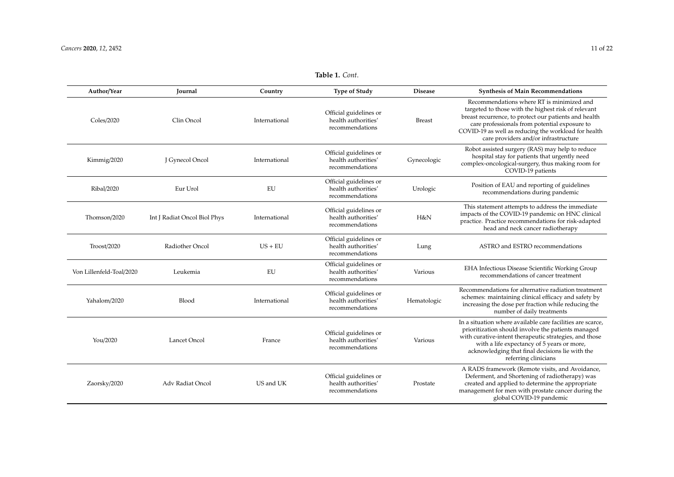| Author/Year              | <b>Journal</b>               | Country       | <b>Type of Study</b>                                             | <b>Disease</b> | <b>Synthesis of Main Recommendations</b>                                                                                                                                                                                                                                                                   |
|--------------------------|------------------------------|---------------|------------------------------------------------------------------|----------------|------------------------------------------------------------------------------------------------------------------------------------------------------------------------------------------------------------------------------------------------------------------------------------------------------------|
| Coles/2020               | Clin Oncol                   | International | Official guidelines or<br>health authorities'<br>recommendations | <b>Breast</b>  | Recommendations where RT is minimized and<br>targeted to those with the highest risk of relevant<br>breast recurrence, to protect our patients and health<br>care professionals from potential exposure to<br>COVID-19 as well as reducing the workload for health<br>care providers and/or infrastructure |
| Kimmig/2020              | J Gynecol Oncol              | International | Official guidelines or<br>health authorities'<br>recommendations | Gynecologic    | Robot assisted surgery (RAS) may help to reduce<br>hospital stay for patients that urgently need<br>complex-oncological-surgery, thus making room for<br>COVID-19 patients                                                                                                                                 |
| Ribal/2020               | Eur Urol                     | EU            | Official guidelines or<br>health authorities'<br>recommendations | Urologic       | Position of EAU and reporting of guidelines<br>recommendations during pandemic                                                                                                                                                                                                                             |
| Thomson/2020             | Int J Radiat Oncol Biol Phys | International | Official guidelines or<br>health authorities'<br>recommendations | H&N            | This statement attempts to address the immediate<br>impacts of the COVID-19 pandemic on HNC clinical<br>practice. Practice recommendations for risk-adapted<br>head and neck cancer radiotherapy                                                                                                           |
| Troost/2020              | Radiother Oncol              | $US + EU$     | Official guidelines or<br>health authorities'<br>recommendations | Lung           | ASTRO and ESTRO recommendations                                                                                                                                                                                                                                                                            |
| Von Lillenfeld-Toal/2020 | Leukemia                     | EU            | Official guidelines or<br>health authorities'<br>recommendations | Various        | EHA Infectious Disease Scientific Working Group<br>recommendations of cancer treatment                                                                                                                                                                                                                     |
| Yahalom/2020             | <b>Blood</b>                 | International | Official guidelines or<br>health authorities'<br>recommendations | Hematologic    | Recommendations for alternative radiation treatment<br>schemes: maintaining clinical efficacy and safety by<br>increasing the dose per fraction while reducing the<br>number of daily treatments                                                                                                           |
| You/2020                 | Lancet Oncol                 | France        | Official guidelines or<br>health authorities'<br>recommendations | Various        | In a situation where available care facilities are scarce,<br>prioritization should involve the patients managed<br>with curative-intent therapeutic strategies, and those<br>with a life expectancy of 5 years or more,<br>acknowledging that final decisions lie with the<br>referring clinicians        |
| Zaorsky/2020             | Adv Radiat Oncol             | US and UK     | Official guidelines or<br>health authorities'<br>recommendations | Prostate       | A RADS framework (Remote visits, and Avoidance,<br>Deferment, and Shortening of radiotherapy) was<br>created and applied to determine the appropriate<br>management for men with prostate cancer during the<br>global COVID-19 pandemic                                                                    |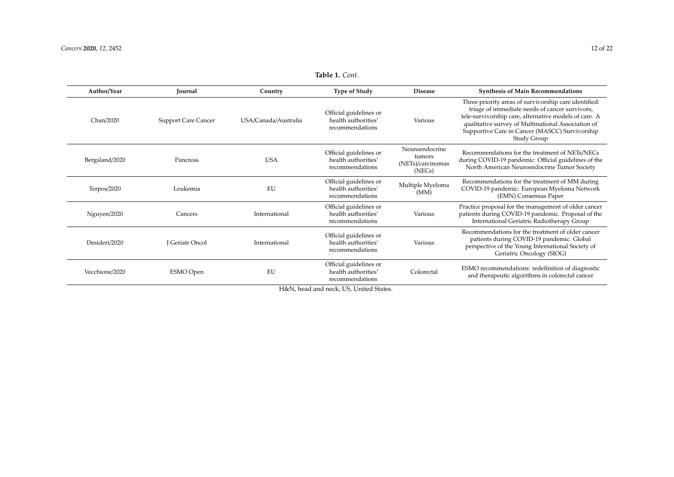<span id="page-11-0"></span>Vecchione/2020 ESMO Open EU

| Author/Year    | Journal                    | Country              | <b>Type of Study</b>                                             | <b>Disease</b>                                          | <b>Synthesis of Main Recommendations</b>                                                                                                                                                                                                                                                |
|----------------|----------------------------|----------------------|------------------------------------------------------------------|---------------------------------------------------------|-----------------------------------------------------------------------------------------------------------------------------------------------------------------------------------------------------------------------------------------------------------------------------------------|
| Chan/2020      | <b>Support Care Cancer</b> | USA/Canada/Australia | Official guidelines or<br>health authorities'<br>recommendations | Various                                                 | Three priority areas of survivorship care identified:<br>triage of immediate needs of cancer survivors,<br>tele-survivorship care, alternative models of care. A<br>qualitative survey of Multinational Association of<br>Supportive Care in Cancer (MASCC) Survivorship<br>Study Group |
| Bergsland/2020 | Pancreas                   | <b>USA</b>           | Official guidelines or<br>health authorities'<br>recommendations | Neuroendocrine<br>tumors<br>(NETs)/carcinomas<br>(NECs) | Recommendations for the treatment of NETs/NECs<br>during COVID-19 pandemic: Official guidelines of the<br>North American Neuroendocrine Tumor Society                                                                                                                                   |
| Terpos/2020    | Leukemia                   | EU                   | Official guidelines or<br>health authorities'<br>recommendations | Multiple Myeloma<br>(MM)                                | Recommendations for the treatment of MM during<br>COVID-19 pandemic: European Myeloma Network<br>(EMN) Consensus Paper                                                                                                                                                                  |
| Nguyen/2020    | Cancers                    | International        | Official guidelines or<br>health authorities'<br>recommendations | Various                                                 | Practice proposal for the management of older cancer<br>patients during COVID-19 pandemic. Proposal of the<br>International Geriatric Radiotherapy Group                                                                                                                                |
| Desideri/2020  | <b>I</b> Geriatr Oncol     | International        | Official guidelines or<br>health authorities'<br>recommendations | Various                                                 | Recommendations for the treatment of older cancer<br>patients during COVID-19 pandemic. Global<br>perspective of the Young International Society of<br>Geriatric Oncology (SIOG)                                                                                                        |

Official guidelines or health authorities' recommendations

**Table 1.** *Cont*.

Colorectal ESMO recommendations: redefinition of diagnostic and therapeutic algorithms in colorectal cancer

H&N, head and neck; US, United States.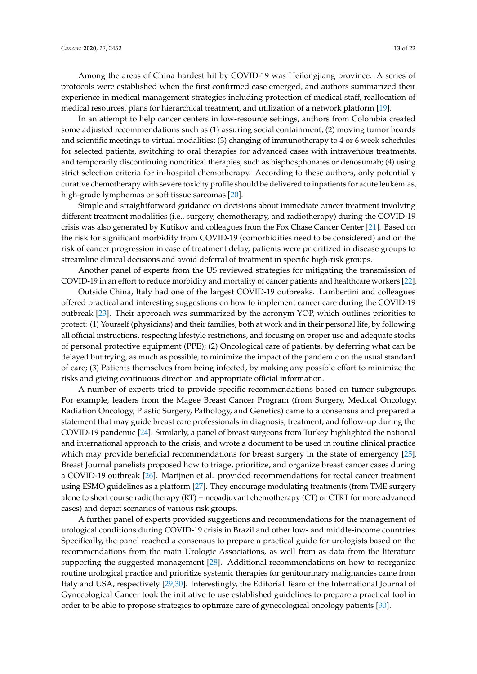Among the areas of China hardest hit by COVID-19 was Heilongjiang province. A series of protocols were established when the first confirmed case emerged, and authors summarized their experience in medical management strategies including protection of medical staff, reallocation of medical resources, plans for hierarchical treatment, and utilization of a network platform [\[19\]](#page-16-16).

In an attempt to help cancer centers in low-resource settings, authors from Colombia created some adjusted recommendations such as (1) assuring social containment; (2) moving tumor boards and scientific meetings to virtual modalities; (3) changing of immunotherapy to 4 or 6 week schedules for selected patients, switching to oral therapies for advanced cases with intravenous treatments, and temporarily discontinuing noncritical therapies, such as bisphosphonates or denosumab; (4) using strict selection criteria for in-hospital chemotherapy. According to these authors, only potentially curative chemotherapy with severe toxicity profile should be delivered to inpatients for acute leukemias, high-grade lymphomas or soft tissue sarcomas [\[20\]](#page-16-17).

Simple and straightforward guidance on decisions about immediate cancer treatment involving different treatment modalities (i.e., surgery, chemotherapy, and radiotherapy) during the COVID-19 crisis was also generated by Kutikov and colleagues from the Fox Chase Cancer Center [\[21\]](#page-17-0). Based on the risk for significant morbidity from COVID-19 (comorbidities need to be considered) and on the risk of cancer progression in case of treatment delay, patients were prioritized in disease groups to streamline clinical decisions and avoid deferral of treatment in specific high-risk groups.

Another panel of experts from the US reviewed strategies for mitigating the transmission of COVID-19 in an effort to reduce morbidity and mortality of cancer patients and healthcare workers [\[22\]](#page-17-1).

Outside China, Italy had one of the largest COVID-19 outbreaks. Lambertini and colleagues offered practical and interesting suggestions on how to implement cancer care during the COVID-19 outbreak [\[23\]](#page-17-2). Their approach was summarized by the acronym YOP, which outlines priorities to protect: (1) Yourself (physicians) and their families, both at work and in their personal life, by following all official instructions, respecting lifestyle restrictions, and focusing on proper use and adequate stocks of personal protective equipment (PPE); (2) Oncological care of patients, by deferring what can be delayed but trying, as much as possible, to minimize the impact of the pandemic on the usual standard of care; (3) Patients themselves from being infected, by making any possible effort to minimize the risks and giving continuous direction and appropriate official information.

A number of experts tried to provide specific recommendations based on tumor subgroups. For example, leaders from the Magee Breast Cancer Program (from Surgery, Medical Oncology, Radiation Oncology, Plastic Surgery, Pathology, and Genetics) came to a consensus and prepared a statement that may guide breast care professionals in diagnosis, treatment, and follow-up during the COVID-19 pandemic [\[24\]](#page-17-3). Similarly, a panel of breast surgeons from Turkey highlighted the national and international approach to the crisis, and wrote a document to be used in routine clinical practice which may provide beneficial recommendations for breast surgery in the state of emergency [\[25\]](#page-17-4). Breast Journal panelists proposed how to triage, prioritize, and organize breast cancer cases during a COVID-19 outbreak [\[26\]](#page-17-5). Marijnen et al. provided recommendations for rectal cancer treatment using ESMO guidelines as a platform [\[27\]](#page-17-6). They encourage modulating treatments (from TME surgery alone to short course radiotherapy (RT) + neoadjuvant chemotherapy (CT) or CTRT for more advanced cases) and depict scenarios of various risk groups.

A further panel of experts provided suggestions and recommendations for the management of urological conditions during COVID-19 crisis in Brazil and other low- and middle-income countries. Specifically, the panel reached a consensus to prepare a practical guide for urologists based on the recommendations from the main Urologic Associations, as well from as data from the literature supporting the suggested management [\[28\]](#page-17-7). Additional recommendations on how to reorganize routine urological practice and prioritize systemic therapies for genitourinary malignancies came from Italy and USA, respectively [\[29](#page-17-8)[,30\]](#page-17-9). Interestingly, the Editorial Team of the International Journal of Gynecological Cancer took the initiative to use established guidelines to prepare a practical tool in order to be able to propose strategies to optimize care of gynecological oncology patients [\[30\]](#page-17-9).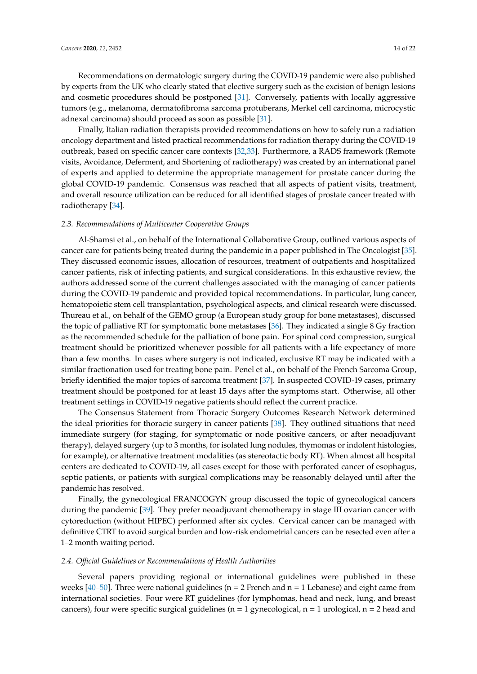Recommendations on dermatologic surgery during the COVID-19 pandemic were also published by experts from the UK who clearly stated that elective surgery such as the excision of benign lesions and cosmetic procedures should be postponed [\[31\]](#page-17-10). Conversely, patients with locally aggressive tumors (e.g., melanoma, dermatofibroma sarcoma protuberans, Merkel cell carcinoma, microcystic adnexal carcinoma) should proceed as soon as possible [\[31\]](#page-17-10).

Finally, Italian radiation therapists provided recommendations on how to safely run a radiation oncology department and listed practical recommendations for radiation therapy during the COVID-19 outbreak, based on specific cancer care contexts [\[32](#page-17-11)[,33\]](#page-17-12). Furthermore, a RADS framework (Remote visits, Avoidance, Deferment, and Shortening of radiotherapy) was created by an international panel of experts and applied to determine the appropriate management for prostate cancer during the global COVID-19 pandemic. Consensus was reached that all aspects of patient visits, treatment, and overall resource utilization can be reduced for all identified stages of prostate cancer treated with radiotherapy [\[34\]](#page-17-13).

#### *2.3. Recommendations of Multicenter Cooperative Groups*

Al-Shamsi et al., on behalf of the International Collaborative Group, outlined various aspects of cancer care for patients being treated during the pandemic in a paper published in The Oncologist [\[35\]](#page-17-14). They discussed economic issues, allocation of resources, treatment of outpatients and hospitalized cancer patients, risk of infecting patients, and surgical considerations. In this exhaustive review, the authors addressed some of the current challenges associated with the managing of cancer patients during the COVID-19 pandemic and provided topical recommendations. In particular, lung cancer, hematopoietic stem cell transplantation, psychological aspects, and clinical research were discussed. Thureau et al., on behalf of the GEMO group (a European study group for bone metastases), discussed the topic of palliative RT for symptomatic bone metastases [\[36\]](#page-17-15). They indicated a single 8 Gy fraction as the recommended schedule for the palliation of bone pain. For spinal cord compression, surgical treatment should be prioritized whenever possible for all patients with a life expectancy of more than a few months. In cases where surgery is not indicated, exclusive RT may be indicated with a similar fractionation used for treating bone pain. Penel et al., on behalf of the French Sarcoma Group, briefly identified the major topics of sarcoma treatment [\[37\]](#page-17-16). In suspected COVID-19 cases, primary treatment should be postponed for at least 15 days after the symptoms start. Otherwise, all other treatment settings in COVID-19 negative patients should reflect the current practice.

The Consensus Statement from Thoracic Surgery Outcomes Research Network determined the ideal priorities for thoracic surgery in cancer patients [\[38\]](#page-17-17). They outlined situations that need immediate surgery (for staging, for symptomatic or node positive cancers, or after neoadjuvant therapy), delayed surgery (up to 3 months, for isolated lung nodules, thymomas or indolent histologies, for example), or alternative treatment modalities (as stereotactic body RT). When almost all hospital centers are dedicated to COVID-19, all cases except for those with perforated cancer of esophagus, septic patients, or patients with surgical complications may be reasonably delayed until after the pandemic has resolved.

Finally, the gynecological FRANCOGYN group discussed the topic of gynecological cancers during the pandemic [\[39\]](#page-18-0). They prefer neoadjuvant chemotherapy in stage III ovarian cancer with cytoreduction (without HIPEC) performed after six cycles. Cervical cancer can be managed with definitive CTRT to avoid surgical burden and low-risk endometrial cancers can be resected even after a 1–2 month waiting period.

#### *2.4. O*ffi*cial Guidelines or Recommendations of Health Authorities*

Several papers providing regional or international guidelines were published in these weeks [\[40](#page-18-1)[–50\]](#page-18-2). Three were national guidelines ( $n = 2$  French and  $n = 1$  Lebanese) and eight came from international societies. Four were RT guidelines (for lymphomas, head and neck, lung, and breast cancers), four were specific surgical guidelines ( $n = 1$  gynecological,  $n = 1$  urological,  $n = 2$  head and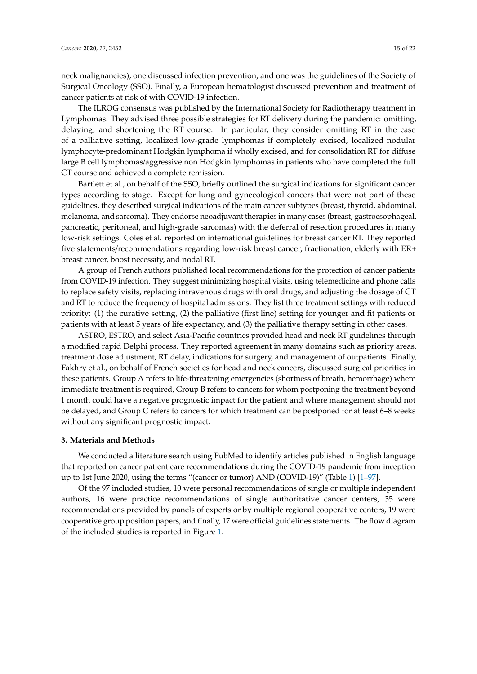neck malignancies), one discussed infection prevention, and one was the guidelines of the Society of Surgical Oncology (SSO). Finally, a European hematologist discussed prevention and treatment of cancer patients at risk of with COVID-19 infection.

The ILROG consensus was published by the International Society for Radiotherapy treatment in Lymphomas. They advised three possible strategies for RT delivery during the pandemic: omitting, delaying, and shortening the RT course. In particular, they consider omitting RT in the case of a palliative setting, localized low-grade lymphomas if completely excised, localized nodular lymphocyte-predominant Hodgkin lymphoma if wholly excised, and for consolidation RT for diffuse large B cell lymphomas/aggressive non Hodgkin lymphomas in patients who have completed the full CT course and achieved a complete remission.

Bartlett et al., on behalf of the SSO, briefly outlined the surgical indications for significant cancer types according to stage. Except for lung and gynecological cancers that were not part of these guidelines, they described surgical indications of the main cancer subtypes (breast, thyroid, abdominal, melanoma, and sarcoma). They endorse neoadjuvant therapies in many cases (breast, gastroesophageal, pancreatic, peritoneal, and high-grade sarcomas) with the deferral of resection procedures in many low-risk settings. Coles et al. reported on international guidelines for breast cancer RT. They reported five statements/recommendations regarding low-risk breast cancer, fractionation, elderly with ER+ breast cancer, boost necessity, and nodal RT.

A group of French authors published local recommendations for the protection of cancer patients from COVID-19 infection. They suggest minimizing hospital visits, using telemedicine and phone calls to replace safety visits, replacing intravenous drugs with oral drugs, and adjusting the dosage of CT and RT to reduce the frequency of hospital admissions. They list three treatment settings with reduced priority: (1) the curative setting, (2) the palliative (first line) setting for younger and fit patients or patients with at least 5 years of life expectancy, and (3) the palliative therapy setting in other cases.

ASTRO, ESTRO, and select Asia-Pacific countries provided head and neck RT guidelines through a modified rapid Delphi process. They reported agreement in many domains such as priority areas, treatment dose adjustment, RT delay, indications for surgery, and management of outpatients. Finally, Fakhry et al., on behalf of French societies for head and neck cancers, discussed surgical priorities in these patients. Group A refers to life-threatening emergencies (shortness of breath, hemorrhage) where immediate treatment is required, Group B refers to cancers for whom postponing the treatment beyond 1 month could have a negative prognostic impact for the patient and where management should not be delayed, and Group C refers to cancers for which treatment can be postponed for at least 6–8 weeks without any significant prognostic impact.

#### **3. Materials and Methods**

We conducted a literature search using PubMed to identify articles published in English language that reported on cancer patient care recommendations during the COVID-19 pandemic from inception up to 1st June 2020, using the terms "(cancer or tumor) AND (COVID-19)" (Table [1\)](#page-11-0) [\[1](#page-16-0)[–97\]](#page-21-0).

Of the 97 included studies, 10 were personal recommendations of single or multiple independent authors, 16 were practice recommendations of single authoritative cancer centers, 35 were recommendations provided by panels of experts or by multiple regional cooperative centers, 19 were cooperative group position papers, and finally, 17 were official guidelines statements. The flow diagram of the included studies is reported in Figure [1.](#page-15-0)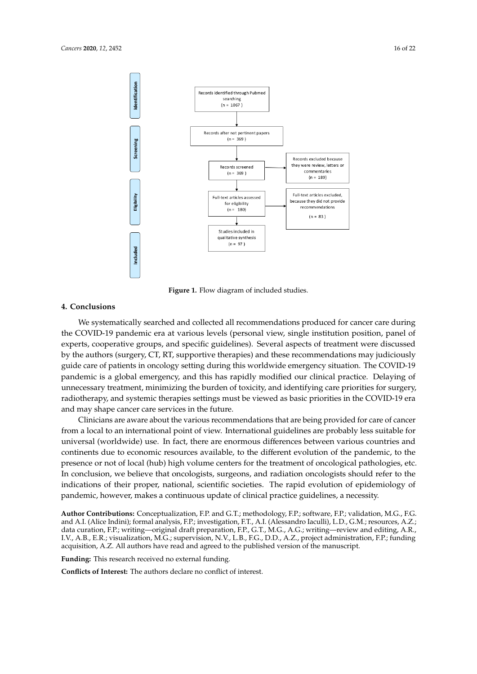<span id="page-15-0"></span>

**Figure 1.** Flow diagram of included studies. **Figure 1.** Flow diagram of included studies.

## **4. Conclusions**

the COVID-19 pandemic era at various levels (personal view, single institution position, panel of experts, cooperative groups, and specific guidelines). Several aspects of treatment were discussed by the authors (surgery, CT, RT, supportive therapies) and these recommendations may judiciously guide care of patients in oncology setting during this worldwide emergency situation. The COVID-19 pandemic is a global emergency, and this has rapidly modified our clinical practice. Delaying of Innecessary treatment, minimizing the burden of toxicity, and identifying care priorities for surgery, radiotherapy, and systemic therapies settings must be viewed as basic priorities in the COVID-19 era and may shape cancer care services in the future. We systematically searched and collected all recommendations produced for cancer care during

Clinicians are aware about the various recommendations that are being provided for care of cancer from a local to an international point of view. International guidelines are probably less suitable for universal (worldwide) use. In fact, there are enormous differences between various countries and continents due to economic resources available, to the different evolution of the pandemic, to the presence or not of local (hub) high volume centers for the treatment of oncological pathologies, etc. In conclusion, we believe that oncologists, surgeons, and radiation oncologists should refer to the indications of their proper, national, scientific societies. The rapid evolution of epidemiology of pandemic, however, makes a continuous update of clinical practice guidelines, a necessity. epidemic, however, makes a continuous update of clinical practice guidelines, and  $\frac{1}{2}$ 

Author Contributions: Conceptualization, F.P. and G.T.; methodology, F.P.; software, F.P.; validation, M.G., F.G. data curation, F.P.; writing—original draft preparation, F.P., G.T., M.G., A.G.; writing—review and editing, A.R.,<br>U.V. A.B. E.B. since limit with M.G. communication N.V. J.B. E.G. D.D. A.Z. smith device the ideal in F.B.  $\mathbb{F}^{G}$ . And  $\mathbb{F}^{G}$  and  $\mathbb{F}^{G}$  and  $\mathbb{F}^{G}$  and  $\mathbb{F}^{G}$  and  $\mathbb{F}^{G}$  and  $\mathbb{F}^{G}$  and  $\mathbb{F}^{G}$  and  $\mathbb{F}^{G}$  and  $\mathbb{F}^{G}$  and  $\mathbb{F}^{G}$  and  $\mathbb{F}^{G}$  and  $\mathbb{F}^{G}$  and  $\mathbb{F}^{G}$  acquisition, A.Z. All authors have read and agreed to the published version of the manuscript. and A.I. (Alice Indini); formal analysis, F.P.; investigation, F.T., A.I. (Alessandro Iaculli), L.D., G.M.; resources, A.Z.; I.V., A.B., E.R.; visualization, M.G.; supervision, N.V., L.B., F.G., D.D., A.Z., project administration, F.P.; funding

**Funding:** This research received no external funding.

**Conflicts of Interest:** The authors declare no conflict of interest.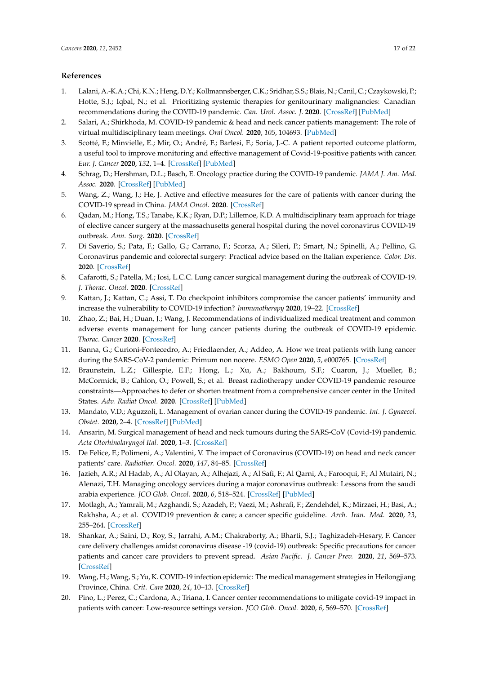# **References**

- <span id="page-16-0"></span>1. Lalani, A.-K.A.; Chi, K.N.; Heng, D.Y.; Kollmannsberger, C.K.; Sridhar, S.S.; Blais, N.; Canil, C.; Czaykowski, P.; Hotte, S.J.; Iqbal, N.; et al. Prioritizing systemic therapies for genitourinary malignancies: Canadian recommendations during the COVID-19 pandemic. *Can. Urol. Assoc. J.* **2020**. [\[CrossRef\]](http://dx.doi.org/10.5489/cuaj.6595) [\[PubMed\]](http://www.ncbi.nlm.nih.gov/pubmed/32267828)
- 2. Salari, A.; Shirkhoda, M. COVID-19 pandemic & head and neck cancer patients management: The role of virtual multidisciplinary team meetings. *Oral Oncol.* **2020**, *105*, 104693. [\[PubMed\]](http://www.ncbi.nlm.nih.gov/pubmed/32291153)
- 3. Scotté, F.; Minvielle, E.; Mir, O.; André, F.; Barlesi, F.; Soria, J.-C. A patient reported outcome platform, a useful tool to improve monitoring and effective management of Covid-19-positive patients with cancer. *Eur. J. Cancer* **2020**, *132*, 1–4. [\[CrossRef\]](http://dx.doi.org/10.1016/j.ejca.2020.03.020) [\[PubMed\]](http://www.ncbi.nlm.nih.gov/pubmed/32294611)
- <span id="page-16-2"></span>4. Schrag, D.; Hershman, D.L.; Basch, E. Oncology practice during the COVID-19 pandemic. *JAMA J. Am. Med. Assoc.* **2020**. [\[CrossRef\]](http://dx.doi.org/10.1001/jama.2020.6236) [\[PubMed\]](http://www.ncbi.nlm.nih.gov/pubmed/32282023)
- <span id="page-16-3"></span>5. Wang, Z.; Wang, J.; He, J. Active and effective measures for the care of patients with cancer during the COVID-19 spread in China. *JAMA Oncol.* **2020**. [\[CrossRef\]](http://dx.doi.org/10.1001/jamaoncol.2020.1198)
- <span id="page-16-4"></span>6. Qadan, M.; Hong, T.S.; Tanabe, K.K.; Ryan, D.P.; Lillemoe, K.D. A multidisciplinary team approach for triage of elective cancer surgery at the massachusetts general hospital during the novel coronavirus COVID-19 outbreak. *Ann. Surg.* **2020**. [\[CrossRef\]](http://dx.doi.org/10.1097/SLA.0000000000003963)
- <span id="page-16-5"></span>7. Di Saverio, S.; Pata, F.; Gallo, G.; Carrano, F.; Scorza, A.; Sileri, P.; Smart, N.; Spinelli, A.; Pellino, G. Coronavirus pandemic and colorectal surgery: Practical advice based on the Italian experience. *Color. Dis.* **2020**. [\[CrossRef\]](http://dx.doi.org/10.1111/codi.15056)
- <span id="page-16-6"></span>8. Cafarotti, S.; Patella, M.; Iosi, L.C.C. Lung cancer surgical management during the outbreak of COVID-19. *J. Thorac. Oncol.* **2020**. [\[CrossRef\]](http://dx.doi.org/10.1016/j.jtho.2020.03.027)
- <span id="page-16-7"></span>9. Kattan, J.; Kattan, C.; Assi, T. Do checkpoint inhibitors compromise the cancer patients' immunity and increase the vulnerability to COVID-19 infection? *Immunotherapy* **2020**, 19–22. [\[CrossRef\]](http://dx.doi.org/10.2217/imt-2020-0077)
- <span id="page-16-8"></span>10. Zhao, Z.; Bai, H.; Duan, J.; Wang, J. Recommendations of individualized medical treatment and common adverse events management for lung cancer patients during the outbreak of COVID-19 epidemic. *Thorac. Cancer* **2020**. [\[CrossRef\]](http://dx.doi.org/10.1111/1759-7714.13424)
- <span id="page-16-9"></span>11. Banna, G.; Curioni-Fontecedro, A.; Friedlaender, A.; Addeo, A. How we treat patients with lung cancer during the SARS-CoV-2 pandemic: Primum non nocere. *ESMO Open* **2020**, *5*, e000765. [\[CrossRef\]](http://dx.doi.org/10.1136/esmoopen-2020-000765)
- <span id="page-16-10"></span>12. Braunstein, L.Z.; Gillespie, E.F.; Hong, L.; Xu, A.; Bakhoum, S.F.; Cuaron, J.; Mueller, B.; McCormick, B.; Cahlon, O.; Powell, S.; et al. Breast radiotherapy under COVID-19 pandemic resource constraints—Approaches to defer or shorten treatment from a comprehensive cancer center in the United States. *Adv. Radiat Oncol.* **2020**. [\[CrossRef\]](http://dx.doi.org/10.1016/j.adro.2020.03.013) [\[PubMed\]](http://www.ncbi.nlm.nih.gov/pubmed/32292842)
- <span id="page-16-11"></span>13. Mandato, V.D.; Aguzzoli, L. Management of ovarian cancer during the COVID-19 pandemic. *Int. J. Gynaecol. Obstet.* **2020**, 2–4. [\[CrossRef\]](http://dx.doi.org/10.1002/ijgo.13167) [\[PubMed\]](http://www.ncbi.nlm.nih.gov/pubmed/32275775)
- <span id="page-16-12"></span>14. Ansarin, M. Surgical management of head and neck tumours during the SARS-CoV (Covid-19) pandemic. *Acta Otorhinolaryngol Ital.* **2020**, 1–3. [\[CrossRef\]](http://dx.doi.org/10.14639/0392-100X-N0783)
- <span id="page-16-13"></span>15. De Felice, F.; Polimeni, A.; Valentini, V. The impact of Coronavirus (COVID-19) on head and neck cancer patients' care. *Radiother. Oncol.* **2020**, *147*, 84–85. [\[CrossRef\]](http://dx.doi.org/10.1016/j.radonc.2020.03.020)
- <span id="page-16-1"></span>16. Jazieh, A.R.; Al Hadab, A.; Al Olayan, A.; Alhejazi, A.; Al Safi, F.; Al Qarni, A.; Farooqui, F.; Al Mutairi, N.; Alenazi, T.H. Managing oncology services during a major coronavirus outbreak: Lessons from the saudi arabia experience. *JCO Glob. Oncol.* **2020**, *6*, 518–524. [\[CrossRef\]](http://dx.doi.org/10.1200/GO.20.00063) [\[PubMed\]](http://www.ncbi.nlm.nih.gov/pubmed/32216653)
- <span id="page-16-14"></span>17. Motlagh, A.; Yamrali, M.; Azghandi, S.; Azadeh, P.; Vaezi, M.; Ashrafi, F.; Zendehdel, K.; Mirzaei, H.; Basi, A.; Rakhsha, A.; et al. COVID19 prevention & care; a cancer specific guideline. *Arch. Iran. Med.* **2020**, *23*, 255–264. [\[CrossRef\]](http://dx.doi.org/10.34172/aim.2020.07)
- <span id="page-16-15"></span>18. Shankar, A.; Saini, D.; Roy, S.; Jarrahi, A.M.; Chakraborty, A.; Bharti, S.J.; Taghizadeh-Hesary, F. Cancer care delivery challenges amidst coronavirus disease -19 (covid-19) outbreak: Specific precautions for cancer patients and cancer care providers to prevent spread. *Asian Pacific. J. Cancer Prev.* **2020**, *21*, 569–573. [\[CrossRef\]](http://dx.doi.org/10.31557/APJCP.2020.21.3.569)
- <span id="page-16-16"></span>19. Wang, H.; Wang, S.; Yu, K. COVID-19 infection epidemic: The medical management strategies in Heilongjiang Province, China. *Crit. Care* **2020**, *24*, 10–13. [\[CrossRef\]](http://dx.doi.org/10.1186/s13054-020-2832-8)
- <span id="page-16-17"></span>20. Pino, L.; Perez, C.; Cardona, A.; Triana, I. Cancer center recommendations to mitigate covid-19 impact in patients with cancer: Low-resource settings version. *JCO Glob. Oncol.* **2020**, *6*, 569–570. [\[CrossRef\]](http://dx.doi.org/10.1200/GO.20.00093)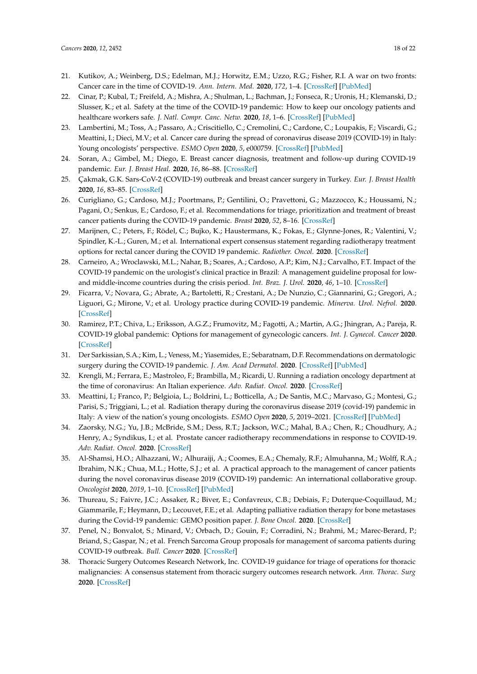- <span id="page-17-0"></span>21. Kutikov, A.; Weinberg, D.S.; Edelman, M.J.; Horwitz, E.M.; Uzzo, R.G.; Fisher, R.I. A war on two fronts: Cancer care in the time of COVID-19. *Ann. Intern. Med.* **2020**, *172*, 1–4. [\[CrossRef\]](http://dx.doi.org/10.7326/M20-1133) [\[PubMed\]](http://www.ncbi.nlm.nih.gov/pubmed/32219410)
- <span id="page-17-1"></span>22. Cinar, P.; Kubal, T.; Freifeld, A.; Mishra, A.; Shulman, L.; Bachman, J.; Fonseca, R.; Uronis, H.; Klemanski, D.; Slusser, K.; et al. Safety at the time of the COVID-19 pandemic: How to keep our oncology patients and healthcare workers safe. *J. Natl. Compr. Canc. Netw.* **2020**, *18*, 1–6. [\[CrossRef\]](http://dx.doi.org/10.6004/jnccn.2020.7572) [\[PubMed\]](http://www.ncbi.nlm.nih.gov/pubmed/32294617)
- <span id="page-17-2"></span>23. Lambertini, M.; Toss, A.; Passaro, A.; Criscitiello, C.; Cremolini, C.; Cardone, C.; Loupakis, F.; Viscardi, G.; Meattini, I.; Dieci, M.V.; et al. Cancer care during the spread of coronavirus disease 2019 (COVID-19) in Italy: Young oncologists' perspective. *ESMO Open* **2020**, *5*, e000759. [\[CrossRef\]](http://dx.doi.org/10.1136/esmoopen-2020-000759) [\[PubMed\]](http://www.ncbi.nlm.nih.gov/pubmed/32229501)
- <span id="page-17-3"></span>24. Soran, A.; Gimbel, M.; Diego, E. Breast cancer diagnosis, treatment and follow-up during COVID-19 pandemic. *Eur. J. Breast Heal.* **2020**, *16*, 86–88. [\[CrossRef\]](http://dx.doi.org/10.5152/ejbh.2020.240320)
- <span id="page-17-4"></span>25. Çakmak, G.K. Sars-CoV-2 (COVID-19) outbreak and breast cancer surgery in Turkey. *Eur. J. Breast Health* **2020**, *16*, 83–85. [\[CrossRef\]](http://dx.doi.org/10.5152/ejbh.2020.300320)
- <span id="page-17-5"></span>26. Curigliano, G.; Cardoso, M.J.; Poortmans, P.; Gentilini, O.; Pravettoni, G.; Mazzocco, K.; Houssami, N.; Pagani, O.; Senkus, E.; Cardoso, F.; et al. Recommendations for triage, prioritization and treatment of breast cancer patients during the COVID-19 pandemic. *Breast* **2020**, *52*, 8–16. [\[CrossRef\]](http://dx.doi.org/10.1016/j.breast.2020.04.006)
- <span id="page-17-6"></span>27. Marijnen, C.; Peters, F.; Rödel, C.; Bujko, K.; Haustermans, K.; Fokas, E.; Glynne-Jones, R.; Valentini, V.; Spindler, K.-L.; Guren, M.; et al. International expert consensus statement regarding radiotherapy treatment options for rectal cancer during the COVID 19 pandemic. *Radiother. Oncol.* **2020**. [\[CrossRef\]](http://dx.doi.org/10.1016/j.radonc.2020.03.039)
- <span id="page-17-7"></span>28. Carneiro, A.; Wroclawski, M.L.; Nahar, B.; Soares, A.; Cardoso, A.P.; Kim, N.J.; Carvalho, F.T. Impact of the COVID-19 pandemic on the urologist's clinical practice in Brazil: A management guideline proposal for lowand middle-income countries during the crisis period. *Int. Braz. J. Urol.* **2020**, *46*, 1–10. [\[CrossRef\]](http://dx.doi.org/10.1590/s1677-5538.ibju.2020.04.03)
- <span id="page-17-8"></span>29. Ficarra, V.; Novara, G.; Abrate, A.; Bartoletti, R.; Crestani, A.; De Nunzio, C.; Giannarini, G.; Gregori, A.; Liguori, G.; Mirone, V.; et al. Urology practice during COVID-19 pandemic. *Minerva. Urol. Nefrol.* **2020**. [\[CrossRef\]](http://dx.doi.org/10.23736/S0393-2249.20.03846-1)
- <span id="page-17-9"></span>30. Ramirez, P.T.; Chiva, L.; Eriksson, A.G.Z.; Frumovitz, M.; Fagotti, A.; Martin, A.G.; Jhingran, A.; Pareja, R. COVID-19 global pandemic: Options for management of gynecologic cancers. *Int. J. Gynecol. Cancer* **2020**. [\[CrossRef\]](http://dx.doi.org/10.1136/ijgc-2020-001419)
- <span id="page-17-10"></span>31. Der Sarkissian, S.A.; Kim, L.; Veness, M.; Yiasemides, E.; Sebaratnam, D.F. Recommendations on dermatologic surgery during the COVID-19 pandemic. *J. Am. Acad Dermatol.* **2020**. [\[CrossRef\]](http://dx.doi.org/10.1016/j.jaad.2020.04.034) [\[PubMed\]](http://www.ncbi.nlm.nih.gov/pubmed/32283242)
- <span id="page-17-11"></span>32. Krengli, M.; Ferrara, E.; Mastroleo, F.; Brambilla, M.; Ricardi, U. Running a radiation oncology department at the time of coronavirus: An Italian experience. *Adv. Radiat. Oncol.* **2020**. [\[CrossRef\]](http://dx.doi.org/10.1016/j.adro.2020.03.003)
- <span id="page-17-12"></span>33. Meattini, I.; Franco, P.; Belgioia, L.; Boldrini, L.; Botticella, A.; De Santis, M.C.; Marvaso, G.; Montesi, G.; Parisi, S.; Triggiani, L.; et al. Radiation therapy during the coronavirus disease 2019 (covid-19) pandemic in Italy: A view of the nation's young oncologists. *ESMO Open* **2020**, *5*, 2019–2021. [\[CrossRef\]](http://dx.doi.org/10.1136/esmoopen-2020-000779) [\[PubMed\]](http://www.ncbi.nlm.nih.gov/pubmed/32295769)
- <span id="page-17-13"></span>34. Zaorsky, N.G.; Yu, J.B.; McBride, S.M.; Dess, R.T.; Jackson, W.C.; Mahal, B.A.; Chen, R.; Choudhury, A.; Henry, A.; Syndikus, I.; et al. Prostate cancer radiotherapy recommendations in response to COVID-19. *Adv. Radiat. Oncol.* **2020**. [\[CrossRef\]](http://dx.doi.org/10.1016/j.adro.2020.03.010)
- <span id="page-17-14"></span>35. Al-Shamsi, H.O.; Alhazzani, W.; Alhuraiji, A.; Coomes, E.A.; Chemaly, R.F.; Almuhanna, M.; Wolff, R.A.; Ibrahim, N.K.; Chua, M.L.; Hotte, S.J.; et al. A practical approach to the management of cancer patients during the novel coronavirus disease 2019 (COVID-19) pandemic: An international collaborative group. *Oncologist* **2020**, *2019*, 1–10. [\[CrossRef\]](http://dx.doi.org/10.1634/theoncologist.2020-0213) [\[PubMed\]](http://www.ncbi.nlm.nih.gov/pubmed/32243668)
- <span id="page-17-15"></span>36. Thureau, S.; Faivre, J.C.; Assaker, R.; Biver, E.; Confavreux, C.B.; Debiais, F.; Duterque-Coquillaud, M.; Giammarile, F.; Heymann, D.; Lecouvet, F.E.; et al. Adapting palliative radiation therapy for bone metastases during the Covid-19 pandemic: GEMO position paper. *J. Bone Oncol.* **2020**. [\[CrossRef\]](http://dx.doi.org/10.1016/j.jbo.2020.100291)
- <span id="page-17-16"></span>37. Penel, N.; Bonvalot, S.; Minard, V.; Orbach, D.; Gouin, F.; Corradini, N.; Brahmi, M.; Marec-Berard, P.; Briand, S.; Gaspar, N.; et al. French Sarcoma Group proposals for management of sarcoma patients during COVID-19 outbreak. *Bull. Cancer* **2020**. [\[CrossRef\]](http://dx.doi.org/10.1016/j.annonc.2020.03.308)
- <span id="page-17-17"></span>38. Thoracic Surgery Outcomes Research Network, Inc. COVID-19 guidance for triage of operations for thoracic malignancies: A consensus statement from thoracic surgery outcomes research network. *Ann. Thorac. Surg* **2020**. [\[CrossRef\]](http://dx.doi.org/10.1016/j.athoracsur.2020.03.005)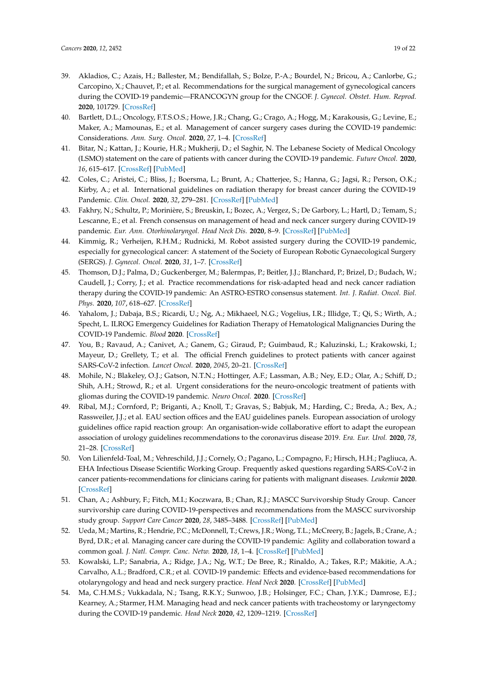- <span id="page-18-0"></span>39. Akladios, C.; Azais, H.; Ballester, M.; Bendifallah, S.; Bolze, P.-A.; Bourdel, N.; Bricou, A.; Canlorbe, G.; Carcopino, X.; Chauvet, P.; et al. Recommendations for the surgical management of gynecological cancers during the COVID-19 pandemic—FRANCOGYN group for the CNGOF. *J. Gynecol. Obstet. Hum. Reprod.* **2020**, 101729. [\[CrossRef\]](http://dx.doi.org/10.1016/j.jogoh.2020.101729)
- <span id="page-18-1"></span>40. Bartlett, D.L.; Oncology, F.T.S.O.S.; Howe, J.R.; Chang, G.; Crago, A.; Hogg, M.; Karakousis, G.; Levine, E.; Maker, A.; Mamounas, E.; et al. Management of cancer surgery cases during the COVID-19 pandemic: Considerations. *Ann. Surg. Oncol.* **2020**, *27*, 1–4. [\[CrossRef\]](http://dx.doi.org/10.1245/s10434-020-08461-2)
- 41. Bitar, N.; Kattan, J.; Kourie, H.R.; Mukherji, D.; el Saghir, N. The Lebanese Society of Medical Oncology (LSMO) statement on the care of patients with cancer during the COVID-19 pandemic. *Future Oncol.* **2020**, *16*, 615–617. [\[CrossRef\]](http://dx.doi.org/10.2217/fon-2020-0252) [\[PubMed\]](http://www.ncbi.nlm.nih.gov/pubmed/32266838)
- 42. Coles, C.; Aristei, C.; Bliss, J.; Boersma, L.; Brunt, A.; Chatterjee, S.; Hanna, G.; Jagsi, R.; Person, O.K.; Kirby, A.; et al. International guidelines on radiation therapy for breast cancer during the COVID-19 Pandemic. *Clin. Oncol.* **2020**, *32*, 279–281. [\[CrossRef\]](http://dx.doi.org/10.1016/j.clon.2020.03.006) [\[PubMed\]](http://www.ncbi.nlm.nih.gov/pubmed/32241520)
- 43. Fakhry, N.; Schultz, P.; Morinière, S.; Breuskin, I.; Bozec, A.; Vergez, S.; De Garbory, L.; Hartl, D.; Temam, S.; Lescanne, E.; et al. French consensus on management of head and neck cancer surgery during COVID-19 pandemic. *Eur. Ann. Otorhinolaryngol. Head Neck Dis.* **2020**, 8–9. [\[CrossRef\]](http://dx.doi.org/10.1016/j.anorl.2020.04.008) [\[PubMed\]](http://www.ncbi.nlm.nih.gov/pubmed/32303485)
- 44. Kimmig, R.; Verheijen, R.H.M.; Rudnicki, M. Robot assisted surgery during the COVID-19 pandemic, especially for gynecological cancer: A statement of the Society of European Robotic Gynaecological Surgery (SERGS). *J. Gynecol. Oncol.* **2020**, *31*, 1–7. [\[CrossRef\]](http://dx.doi.org/10.3802/jgo.2020.31.e59)
- 45. Thomson, D.J.; Palma, D.; Guckenberger, M.; Balermpas, P.; Beitler, J.J.; Blanchard, P.; Brizel, D.; Budach, W.; Caudell, J.; Corry, J.; et al. Practice recommendations for risk-adapted head and neck cancer radiation therapy during the COVID-19 pandemic: An ASTRO-ESTRO consensus statement. *Int. J. Radiat. Oncol. Biol. Phys.* **2020**, *107*, 618–627. [\[CrossRef\]](http://dx.doi.org/10.1016/j.ijrobp.2020.04.016)
- 46. Yahalom, J.; Dabaja, B.S.; Ricardi, U.; Ng, A.; Mikhaeel, N.G.; Vogelius, I.R.; Illidge, T.; Qi, S.; Wirth, A.; Specht, L. ILROG Emergency Guidelines for Radiation Therapy of Hematological Malignancies During the COVID-19 Pandemic. *Blood* **2020**. [\[CrossRef\]](http://dx.doi.org/10.1182/blood.2020006028)
- 47. You, B.; Ravaud, A.; Canivet, A.; Ganem, G.; Giraud, P.; Guimbaud, R.; Kaluzinski, L.; Krakowski, I.; Mayeur, D.; Grellety, T.; et al. The official French guidelines to protect patients with cancer against SARS-CoV-2 infection. *Lancet Oncol.* **2020**, *2045*, 20–21. [\[CrossRef\]](http://dx.doi.org/10.1016/S1470-2045(20)30204-7)
- 48. Mohile, N.; Blakeley, O.J.; Gatson, N.T.N.; Hottinger, A.F.; Lassman, A.B.; Ney, E.D.; Olar, A.; Schiff, D.; Shih, A.H.; Strowd, R.; et al. Urgent considerations for the neuro-oncologic treatment of patients with gliomas during the COVID-19 pandemic. *Neuro Oncol.* **2020**. [\[CrossRef\]](http://dx.doi.org/10.1093/neuonc/noaa090)
- 49. Ribal, M.J.; Cornford, P.; Briganti, A.; Knoll, T.; Gravas, S.; Babjuk, M.; Harding, C.; Breda, A.; Bex, A.; Rassweiler, J.J.; et al. EAU section offices and the EAU guidelines panels. European association of urology guidelines office rapid reaction group: An organisation-wide collaborative effort to adapt the european association of urology guidelines recommendations to the coronavirus disease 2019. *Era. Eur. Urol.* **2020**, *78*, 21–28. [\[CrossRef\]](http://dx.doi.org/10.1016/j.eururo.2020.04.056)
- <span id="page-18-2"></span>50. Von Lilienfeld-Toal, M.; Vehreschild, J.J.; Cornely, O.; Pagano, L.; Compagno, F.; Hirsch, H.H.; Pagliuca, A. EHA Infectious Disease Scientific Working Group. Frequently asked questions regarding SARS-CoV-2 in cancer patients-recommendations for clinicians caring for patients with malignant diseases. *Leukemia* **2020**. [\[CrossRef\]](http://dx.doi.org/10.1038/s41375-020-0832-y)
- 51. Chan, A.; Ashbury, F.; Fitch, M.I.; Koczwara, B.; Chan, R.J.; MASCC Survivorship Study Group. Cancer survivorship care during COVID-19-perspectives and recommendations from the MASCC survivorship study group. *Support Care Cancer* **2020**, *28*, 3485–3488. [\[CrossRef\]](http://dx.doi.org/10.1007/s00520-020-05544-4) [\[PubMed\]](http://www.ncbi.nlm.nih.gov/pubmed/32451702)
- 52. Ueda, M.; Martins, R.; Hendrie, P.C.; McDonnell, T.; Crews, J.R.; Wong, T.L.; McCreery, B.; Jagels, B.; Crane, A.; Byrd, D.R.; et al. Managing cancer care during the COVID-19 pandemic: Agility and collaboration toward a common goal. *J. Natl. Compr. Canc. Netw.* **2020**, *18*, 1–4. [\[CrossRef\]](http://dx.doi.org/10.6004/jnccn.2020.7560) [\[PubMed\]](http://www.ncbi.nlm.nih.gov/pubmed/32197238)
- 53. Kowalski, L.P.; Sanabria, A.; Ridge, J.A.; Ng, W.T.; De Bree, R.; Rinaldo, A.; Takes, R.P.; Mäkitie, A.A.; Carvalho, A.L.; Bradford, C.R.; et al. COVID-19 pandemic: Effects and evidence-based recommendations for otolaryngology and head and neck surgery practice. *Head Neck* **2020**. [\[CrossRef\]](http://dx.doi.org/10.1002/hed.26164) [\[PubMed\]](http://www.ncbi.nlm.nih.gov/pubmed/32270581)
- 54. Ma, C.H.M.S.; Vukkadala, N.; Tsang, R.K.Y.; Sunwoo, J.B.; Holsinger, F.C.; Chan, J.Y.K.; Damrose, E.J.; Kearney, A.; Starmer, H.M. Managing head and neck cancer patients with tracheostomy or laryngectomy during the COVID-19 pandemic. *Head Neck* **2020**, *42*, 1209–1219. [\[CrossRef\]](http://dx.doi.org/10.1002/hed.26171)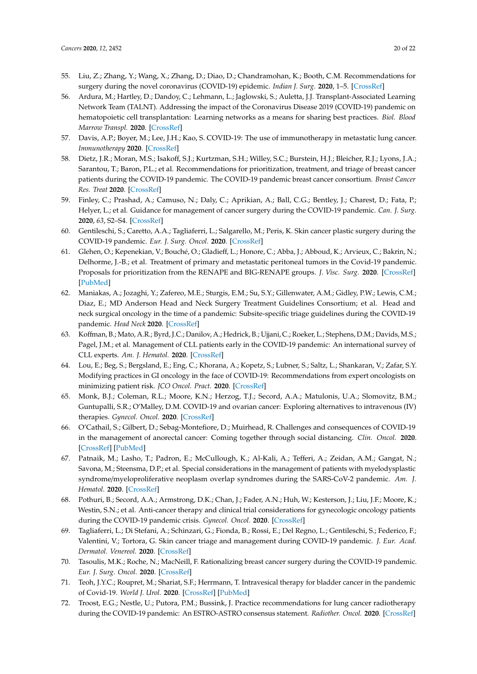- 55. Liu, Z.; Zhang, Y.; Wang, X.; Zhang, D.; Diao, D.; Chandramohan, K.; Booth, C.M. Recommendations for surgery during the novel coronavirus (COVID-19) epidemic. *Indian J. Surg.* **2020**, 1–5. [\[CrossRef\]](http://dx.doi.org/10.1007/s12262-020-02173-3)
- 56. Ardura, M.; Hartley, D.; Dandoy, C.; Lehmann, L.; Jaglowski, S.; Auletta, J.J. Transplant-Associated Learning Network Team (TALNT). Addressing the impact of the Coronavirus Disease 2019 (COVID-19) pandemic on hematopoietic cell transplantation: Learning networks as a means for sharing best practices. *Biol. Blood Marrow Transpl.* **2020**. [\[CrossRef\]](http://dx.doi.org/10.1016/j.bbmt.2020.04.018)
- 57. Davis, A.P.; Boyer, M.; Lee, J.H.; Kao, S. COVID-19: The use of immunotherapy in metastatic lung cancer. *Immunotherapy* **2020**. [\[CrossRef\]](http://dx.doi.org/10.2217/imt-2020-0096)
- 58. Dietz, J.R.; Moran, M.S.; Isakoff, S.J.; Kurtzman, S.H.; Willey, S.C.; Burstein, H.J.; Bleicher, R.J.; Lyons, J.A.; Sarantou, T.; Baron, P.L.; et al. Recommendations for prioritization, treatment, and triage of breast cancer patients during the COVID-19 pandemic. The COVID-19 pandemic breast cancer consortium. *Breast Cancer Res. Treat* **2020**. [\[CrossRef\]](http://dx.doi.org/10.1007/s10549-020-05644-z)
- 59. Finley, C.; Prashad, A.; Camuso, N.; Daly, C.; Aprikian, A.; Ball, C.G.; Bentley, J.; Charest, D.; Fata, P.; Helyer, L.; et al. Guidance for management of cancer surgery during the COVID-19 pandemic. *Can. J. Surg.* **2020**, *63*, S2–S4. [\[CrossRef\]](http://dx.doi.org/10.1503/cjs.005620)
- 60. Gentileschi, S.; Caretto, A.A.; Tagliaferri, L.; Salgarello, M.; Peris, K. Skin cancer plastic surgery during the COVID-19 pandemic. *Eur. J. Surg. Oncol.* **2020**. [\[CrossRef\]](http://dx.doi.org/10.1016/j.ejso.2020.04.048)
- 61. Glehen, O.; Kepenekian, V.; Bouché, O.; Gladieff, L.; Honore, C.; Abba, J.; Abboud, K.; Arvieux, C.; Bakrin, N.; Delhorme, J.-B.; et al. Treatment of primary and metastatic peritoneal tumors in the Covid-19 pandemic. Proposals for prioritization from the RENAPE and BIG-RENAPE groups. *J. Visc. Surg.* **2020**. [\[CrossRef\]](http://dx.doi.org/10.1016/j.jviscsurg.2020.04.013) [\[PubMed\]](http://www.ncbi.nlm.nih.gov/pubmed/32387058)
- 62. Maniakas, A.; Jozaghi, Y.; Zafereo, M.E.; Sturgis, E.M.; Su, S.Y.; Gillenwater, A.M.; Gidley, P.W.; Lewis, C.M.; Diaz, E.; MD Anderson Head and Neck Surgery Treatment Guidelines Consortium; et al. Head and neck surgical oncology in the time of a pandemic: Subsite-specific triage guidelines during the COVID-19 pandemic. *Head Neck* **2020**. [\[CrossRef\]](http://dx.doi.org/10.1002/hed.26206)
- 63. Koffman, B.; Mato, A.R.; Byrd, J.C.; Danilov, A.; Hedrick, B.; Ujjani, C.; Roeker, L.; Stephens, D.M.; Davids, M.S.; Pagel, J.M.; et al. Management of CLL patients early in the COVID-19 pandemic: An international survey of CLL experts. *Am. J. Hematol.* **2020**. [\[CrossRef\]](http://dx.doi.org/10.1002/ajh.25851)
- 64. Lou, E.; Beg, S.; Bergsland, E.; Eng, C.; Khorana, A.; Kopetz, S.; Lubner, S.; Saltz, L.; Shankaran, V.; Zafar, S.Y. Modifying practices in GI oncology in the face of COVID-19: Recommendations from expert oncologists on minimizing patient risk. *JCO Oncol. Pract.* **2020**. [\[CrossRef\]](http://dx.doi.org/10.1200/OP.20.00239)
- 65. Monk, B.J.; Coleman, R.L.; Moore, K.N.; Herzog, T.J.; Secord, A.A.; Matulonis, U.A.; Slomovitz, B.M.; Guntupalli, S.R.; O'Malley, D.M. COVID-19 and ovarian cancer: Exploring alternatives to intravenous (IV) therapies. *Gynecol. Oncol.* **2020**. [\[CrossRef\]](http://dx.doi.org/10.1016/j.ygyno.2020.04.703)
- 66. O'Cathail, S.; Gilbert, D.; Sebag-Montefiore, D.; Muirhead, R. Challenges and consequences of COVID-19 in the management of anorectal cancer: Coming together through social distancing. *Clin. Oncol.* **2020**. [\[CrossRef\]](http://dx.doi.org/10.1016/j.clon.2020.04.009) [\[PubMed\]](http://www.ncbi.nlm.nih.gov/pubmed/32359847)
- 67. Patnaik, M.; Lasho, T.; Padron, E.; McCullough, K.; Al-Kali, A.; Tefferi, A.; Zeidan, A.M.; Gangat, N.; Savona, M.; Steensma, D.P.; et al. Special considerations in the management of patients with myelodysplastic syndrome/myeloproliferative neoplasm overlap syndromes during the SARS-CoV-2 pandemic. *Am. J. Hematol.* **2020**. [\[CrossRef\]](http://dx.doi.org/10.1002/ajh.25853)
- 68. Pothuri, B.; Secord, A.A.; Armstrong, D.K.; Chan, J.; Fader, A.N.; Huh, W.; Kesterson, J.; Liu, J.F.; Moore, K.; Westin, S.N.; et al. Anti-cancer therapy and clinical trial considerations for gynecologic oncology patients during the COVID-19 pandemic crisis. *Gynecol. Oncol.* **2020**. [\[CrossRef\]](http://dx.doi.org/10.1016/j.ygyno.2020.04.694)
- 69. Tagliaferri, L.; Di Stefani, A.; Schinzari, G.; Fionda, B.; Rossi, E.; Del Regno, L.; Gentileschi, S.; Federico, F.; Valentini, V.; Tortora, G. Skin cancer triage and management during COVID-19 pandemic. *J. Eur. Acad. Dermatol. Venereol.* **2020**. [\[CrossRef\]](http://dx.doi.org/10.1111/jdv.16529)
- 70. Tasoulis, M.K.; Roche, N.; MacNeill, F. Rationalizing breast cancer surgery during the COVID-19 pandemic. *Eur. J. Surg. Oncol.* **2020**. [\[CrossRef\]](http://dx.doi.org/10.1016/j.ejso.2020.04.049)
- 71. Teoh, J.Y.C.; Roupret, M.; Shariat, S.F.; Herrmann, T. Intravesical therapy for bladder cancer in the pandemic of Covid-19. *World J. Urol.* **2020**. [\[CrossRef\]](http://dx.doi.org/10.1007/s00345-020-03218-8) [\[PubMed\]](http://www.ncbi.nlm.nih.gov/pubmed/32356225)
- 72. Troost, E.G.; Nestle, U.; Putora, P.M.; Bussink, J. Practice recommendations for lung cancer radiotherapy during the COVID-19 pandemic: An ESTRO-ASTRO consensus statement. *Radiother. Oncol.* **2020**. [\[CrossRef\]](http://dx.doi.org/10.1016/j.radonc.2020.04.030)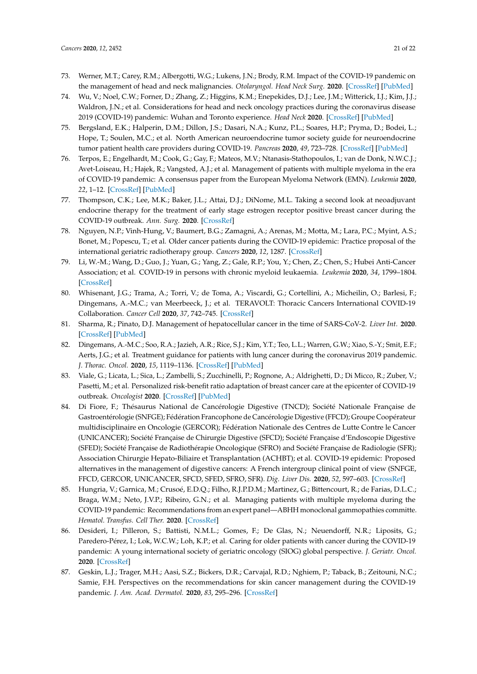- 73. Werner, M.T.; Carey, R.M.; Albergotti, W.G.; Lukens, J.N.; Brody, R.M. Impact of the COVID-19 pandemic on the management of head and neck malignancies. *Otolaryngol. Head Neck Surg.* **2020**. [\[CrossRef\]](http://dx.doi.org/10.1177/0194599820921413) [\[PubMed\]](http://www.ncbi.nlm.nih.gov/pubmed/32312163)
- 74. Wu, V.; Noel, C.W.; Forner, D.; Zhang, Z.; Higgins, K.M.; Enepekides, D.J.; Lee, J.M.; Witterick, I.J.; Kim, J.J.; Waldron, J.N.; et al. Considerations for head and neck oncology practices during the coronavirus disease 2019 (COVID-19) pandemic: Wuhan and Toronto experience. *Head Neck* **2020**. [\[CrossRef\]](http://dx.doi.org/10.1002/hed.26205) [\[PubMed\]](http://www.ncbi.nlm.nih.gov/pubmed/32338807)
- 75. Bergsland, E.K.; Halperin, D.M.; Dillon, J.S.; Dasari, N.A.; Kunz, P.L.; Soares, H.P.; Pryma, D.; Bodei, L.; Hope, T.; Soulen, M.C.; et al. North American neuroendocrine tumor society guide for neuroendocrine tumor patient health care providers during COVID-19. *Pancreas* **2020**, *49*, 723–728. [\[CrossRef\]](http://dx.doi.org/10.1097/MPA.0000000000001561) [\[PubMed\]](http://www.ncbi.nlm.nih.gov/pubmed/32433264)
- 76. Terpos, E.; Engelhardt, M.; Cook, G.; Gay, F.; Mateos, M.V.; Ntanasis-Stathopoulos, I.; van de Donk, N.W.C.J.; Avet-Loiseau, H.; Hajek, R.; Vangsted, A.J.; et al. Management of patients with multiple myeloma in the era of COVID-19 pandemic: A consensus paper from the European Myeloma Network (EMN). *Leukemia* **2020**, *22*, 1–12. [\[CrossRef\]](http://dx.doi.org/10.1038/s41375-020-0876-z) [\[PubMed\]](http://www.ncbi.nlm.nih.gov/pubmed/32444866)
- 77. Thompson, C.K.; Lee, M.K.; Baker, J.L.; Attai, D.J.; DiNome, M.L. Taking a second look at neoadjuvant endocrine therapy for the treatment of early stage estrogen receptor positive breast cancer during the COVID-19 outbreak. *Ann. Surg.* **2020**. [\[CrossRef\]](http://dx.doi.org/10.1097/SLA.0000000000004027)
- 78. Nguyen, N.P.; Vinh-Hung, V.; Baumert, B.G.; Zamagni, A.; Arenas, M.; Motta, M.; Lara, P.C.; Myint, A.S.; Bonet, M.; Popescu, T.; et al. Older cancer patients during the COVID-19 epidemic: Practice proposal of the international geriatric radiotherapy group. *Cancers* **2020**, *12*, 1287. [\[CrossRef\]](http://dx.doi.org/10.3390/cancers12051287)
- 79. Li, W.-M.; Wang, D.; Guo, J.; Yuan, G.; Yang, Z.; Gale, R.P.; You, Y.; Chen, Z.; Chen, S.; Hubei Anti-Cancer Association; et al. COVID-19 in persons with chronic myeloid leukaemia. *Leukemia* **2020**, *34*, 1799–1804. [\[CrossRef\]](http://dx.doi.org/10.1038/s41375-020-0853-6)
- 80. Whisenant, J.G.; Trama, A.; Torri, V.; de Toma, A.; Viscardi, G.; Cortellini, A.; Micheilin, O.; Barlesi, F.; Dingemans, A.-M.C.; van Meerbeeck, J.; et al. TERAVOLT: Thoracic Cancers International COVID-19 Collaboration. *Cancer Cell* **2020**, *37*, 742–745. [\[CrossRef\]](http://dx.doi.org/10.1016/j.ccell.2020.05.008)
- 81. Sharma, R.; Pinato, D.J. Management of hepatocellular cancer in the time of SARS-CoV-2. *Liver Int.* **2020**. [\[CrossRef\]](http://dx.doi.org/10.1111/liv.14517) [\[PubMed\]](http://www.ncbi.nlm.nih.gov/pubmed/32416633)
- 82. Dingemans, A.-M.C.; Soo, R.A.; Jazieh, A.R.; Rice, S.J.; Kim, Y.T.; Teo, L.L.; Warren, G.W.; Xiao, S.-Y.; Smit, E.F.; Aerts, J.G.; et al. Treatment guidance for patients with lung cancer during the coronavirus 2019 pandemic. *J. Thorac. Oncol.* **2020**, *15*, 1119–1136. [\[CrossRef\]](http://dx.doi.org/10.1016/j.jtho.2020.05.001) [\[PubMed\]](http://www.ncbi.nlm.nih.gov/pubmed/32422364)
- 83. Viale, G.; Licata, L.; Sica, L.; Zambelli, S.; Zucchinelli, P.; Rognone, A.; Aldrighetti, D.; Di Micco, R.; Zuber, V.; Pasetti, M.; et al. Personalized risk-benefit ratio adaptation of breast cancer care at the epicenter of COVID-19 outbreak. *Oncologist* **2020**. [\[CrossRef\]](http://dx.doi.org/10.1634/theoncologist.2020-0316) [\[PubMed\]](http://www.ncbi.nlm.nih.gov/pubmed/32412693)
- 84. Di Fiore, F.; Thésaurus National de Cancérologie Digestive (TNCD); Société Nationale Française de Gastroentérologie (SNFGE); Fédération Francophone de Cancérologie Digestive (FFCD); Groupe Coopérateur multidisciplinaire en Oncologie (GERCOR); Fédération Nationale des Centres de Lutte Contre le Cancer (UNICANCER); Société Française de Chirurgie Digestive (SFCD); Société Française d'Endoscopie Digestive (SFED); Société Française de Radiothérapie Oncologique (SFRO) and Société Française de Radiologie (SFR); Association Chirurgie Hepato-Biliaire et Transplantation (ACHBT); et al. COVID-19 epidemic: Proposed alternatives in the management of digestive cancers: A French intergroup clinical point of view (SNFGE, FFCD, GERCOR, UNICANCER, SFCD, SFED, SFRO, SFR). *Dig. Liver Dis.* **2020**, *52*, 597–603. [\[CrossRef\]](http://dx.doi.org/10.1016/j.dld.2020.03.031)
- 85. Hungria, V.; Garnica, M.; Crusoé, E.D.Q.; Filho, R.J.P.D.M.; Martinez, G.; Bittencourt, R.; de Farias, D.L.C.; Braga, W.M.; Neto, J.V.P.; Ribeiro, G.N.; et al. Managing patients with multiple myeloma during the COVID-19 pandemic: Recommendations from an expert panel—ABHH monoclonal gammopathies committe. *Hematol. Transfus. Cell Ther.* **2020**. [\[CrossRef\]](http://dx.doi.org/10.1016/j.htct.2020.05.001)
- 86. Desideri, I.; Pilleron, S.; Battisti, N.M.L.; Gomes, F.; De Glas, N.; Neuendorff, N.R.; Liposits, G.; Paredero-Pérez, I.; Lok, W.C.W.; Loh, K.P.; et al. Caring for older patients with cancer during the COVID-19 pandemic: A young international society of geriatric oncology (SIOG) global perspective. *J. Geriatr. Oncol.* **2020**. [\[CrossRef\]](http://dx.doi.org/10.1016/j.jgo.2020.05.001)
- 87. Geskin, L.J.; Trager, M.H.; Aasi, S.Z.; Bickers, D.R.; Carvajal, R.D.; Nghiem, P.; Taback, B.; Zeitouni, N.C.; Samie, F.H. Perspectives on the recommendations for skin cancer management during the COVID-19 pandemic. *J. Am. Acad. Dermatol.* **2020**, *83*, 295–296. [\[CrossRef\]](http://dx.doi.org/10.1016/j.jaad.2020.05.002)